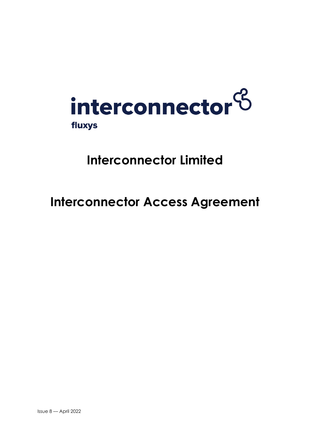

# **Interconnector Limited**

# **Interconnector Access Agreement**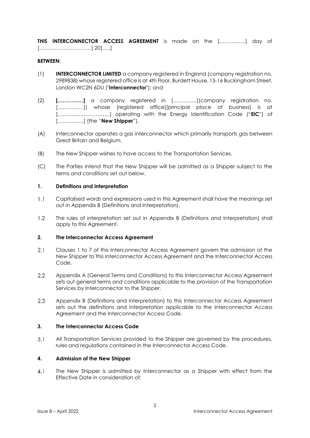**THIS INTERCONNECTOR ACCESS AGREEMENT** is made on the [……………] day of […………………………] 20[…..]

#### **BETWEEN:**

- (1) **INTERCONNECTOR LIMITED** a company registered in England (company registration no. 2989838) whose registered office is at 4th Floor, Burdett House, 15-16 Buckingham Street, London WC2N 6DU ("**Interconnector**"); and
- (2) **[……………]** a company registered in [*…………..*](company registration no. [..............]) whose [registered office][principal place of business] is at […………………………] operating with the Energy Identification Code ("**EIC**") of [……………] (the "**New Shipper**").
- (A) Interconnector operates a gas interconnector which primarily transports gas between Great Britain and Belgium.
- (B) The New Shipper wishes to have access to the Transportation Services.
- (C) The Parties intend that the New Shipper will be admitted as a Shipper subject to the terms and conditions set out below.

#### **1. Definitions and interpretation**

- $1.1$ Capitalised words and expressions used in this Agreement shall have the meanings set out in Appendix B (Definitions and Interpretation).
- $1.2$ The rules of interpretation set out in Appendix B (Definitions and Interpretation) shall apply to this Agreement.

#### **2. The Interconnector Access Agreement**

- Clauses 1 to 7 of this Interconnector Access Agreement govern the admission of the  $2.1$ New Shipper to this Interconnector Access Agreement and the Interconnector Access Code.
- $2.2$ Appendix A (General Terms and Conditions) to this Interconnector Access Agreement sets out general terms and conditions applicable to the provision of the Transportation Services by Interconnector to the Shipper.
- $2.3$ Appendix B (Definitions and Interpretation) to this Interconnector Access Agreement sets out the definitions and interpretation applicable to the Interconnector Access Agreement and the Interconnector Access Code.

#### **3. The Interconnector Access Code**

All Transportation Services provided to the Shipper are governed by the procedures,  $3.1$ rules and regulations contained in the Interconnector Access Code.

#### **4. Admission of the New Shipper**

 $4.1$ The New Shipper is admitted by Interconnector as a Shipper with effect from the Effective Date in consideration of: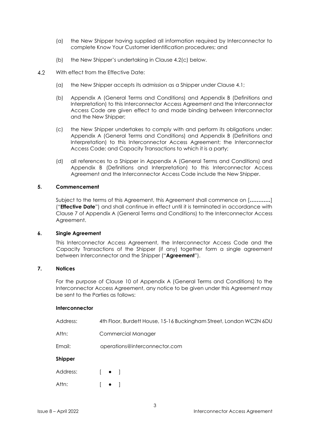- (a) the New Shipper having supplied all information required by Interconnector to complete Know Your Customer identification procedures; and
- (b) the New Shipper's undertaking in Clause 4.2(c) below.
- $4.2$ With effect from the Effective Date:
	- (a) the New Shipper accepts its admission as a Shipper under Clause 4.1;
	- (b) Appendix A (General Terms and Conditions) and Appendix B (Definitions and Interpretation) to this Interconnector Access Agreement and the Interconnector Access Code are given effect to and made binding between Interconnector and the New Shipper;
	- (c) the New Shipper undertakes to comply with and perform its obligations under: Appendix A (General Terms and Conditions) and Appendix B (Definitions and Interpretation) to this Interconnector Access Agreement; the Interconnector Access Code; and Capacity Transactions to which it is a party;
	- (d) all references to a Shipper in Appendix A (General Terms and Conditions) and Appendix B (Definitions and Interpretation) to this Interconnector Access Agreement and the Interconnector Access Code include the New Shipper.

#### **5. Commencement**

Subject to the terms of this Agreement, this Agreement shall commence on [*…………*] ("**Effective Date**") and shall continue in effect until it is terminated in accordance with Clause 7 of Appendix A (General Terms and Conditions) to the Interconnector Access Agreement.

#### **6. Single Agreement**

This Interconnector Access Agreement, the Interconnector Access Code and the Capacity Transactions of the Shipper (if any) together form a single agreement between Interconnector and the Shipper ("**Agreement**").

# **7. Notices**

For the purpose of Clause 10 of Appendix A (General Terms and Conditions) to the Interconnector Access Agreement, any notice to be given under this Agreement may be sent to the Parties as follows:

#### **Interconnector**

| Address: | 4th Floor, Burdett House, 15-16 Buckingham Street, London WC2N 6DU |  |
|----------|--------------------------------------------------------------------|--|
| Attn:    | <b>Commercial Manager</b>                                          |  |
| Email:   | operations@interconnector.com                                      |  |
| Shipper  |                                                                    |  |
| Address: | $\begin{bmatrix} \bullet & \end{bmatrix}$                          |  |
| Attn:    |                                                                    |  |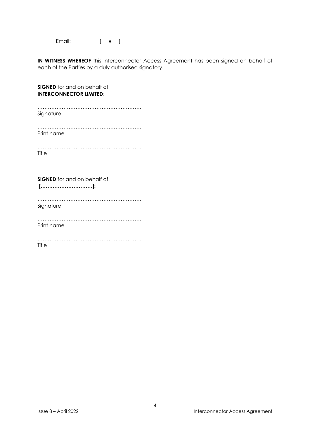Email: [ ● ]

**IN WITNESS WHEREOF** this Interconnector Access Agreement has been signed on behalf of each of the Parties by a duly authorised signatory.

| <b>SIGNED</b> for and on behalf of<br><b>INTERCONNECTOR LIMITED:</b> |  |  |  |  |
|----------------------------------------------------------------------|--|--|--|--|
| Signature                                                            |  |  |  |  |
| Print name                                                           |  |  |  |  |
| Title                                                                |  |  |  |  |
| <b>SIGNED</b> for and on behalf of<br>$[$ ]:                         |  |  |  |  |
| Signature                                                            |  |  |  |  |
| Print name                                                           |  |  |  |  |
| Title                                                                |  |  |  |  |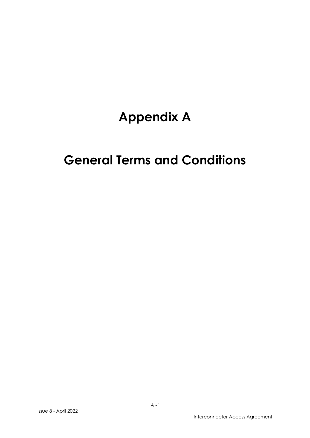# **Appendix A**

# **General Terms and Conditions**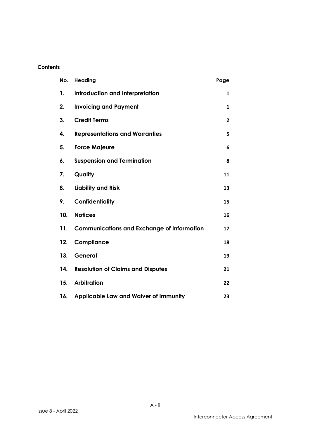# **Contents**

| No. | Heading                                           | Page |
|-----|---------------------------------------------------|------|
| 1.  | <b>Introduction and Interpretation</b>            | 1    |
| 2.  | <b>Invoicing and Payment</b>                      | 1    |
| 3.  | <b>Credit Terms</b>                               | 2    |
| 4.  | <b>Representations and Warranties</b>             | 5    |
| 5.  | <b>Force Majeure</b>                              | 6    |
| 6.  | <b>Suspension and Termination</b>                 | 8    |
| 7.  | Quality                                           | 11   |
| 8.  | <b>Liability and Risk</b>                         | 13   |
| 9.  | Confidentiality                                   | 15   |
| 10. | <b>Notices</b>                                    | 16   |
| 11. | <b>Communications and Exchange of Information</b> | 17   |
| 12. | Compliance                                        | 18   |
| 13. | General                                           | 19   |
| 14. | <b>Resolution of Claims and Disputes</b>          | 21   |
| 15. | <b>Arbitration</b>                                | 22   |
| 16. | <b>Applicable Law and Waiver of Immunity</b>      | 23   |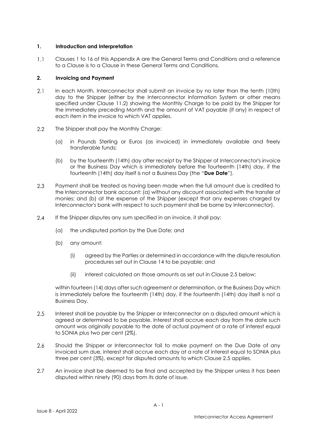### **1. Introduction and Interpretation**

 $1.1$ Clauses 1 to 16 of this Appendix A are the General Terms and Conditions and a reference to a Clause is to a Clause in these General Terms and Conditions.

## **2. Invoicing and Payment**

- $2.1$ In each Month, Interconnector shall submit an invoice by no later than the tenth (10th) day to the Shipper (either by the Interconnector Information System or other means specified under Clause 11.2) showing the Monthly Charge to be paid by the Shipper for the immediately preceding Month and the amount of VAT payable (if any) in respect of each item in the invoice to which VAT applies.
- $2.2$ The Shipper shall pay the Monthly Charge:
	- (a) in Pounds Sterling or Euros (as invoiced) in immediately available and freely transferable funds;
	- (b) by the fourteenth (14th) day after receipt by the Shipper of Interconnector's invoice or the Business Day which is immediately before the fourteenth (14th) day, if the fourteenth (14th) day itself is not a Business Day (the "**Due Date**").
- 2.3 Payment shall be treated as having been made when the full amount due is credited to the Interconnector bank account: (a) without any discount associated with the transfer of monies; and (b) at the expense of the Shipper (except that any expenses charged by Interconnector's bank with respect to such payment shall be borne by Interconnector).
- $2.4$ If the Shipper disputes any sum specified in an invoice, it shall pay:
	- (a) the undisputed portion by the Due Date; and
	- (b) any amount:
		- (i) agreed by the Parties or determined in accordance with the dispute resolution procedures set out in Clause 14 to be payable; and
		- (ii) interest calculated on those amounts as set out in Clause 2.5 below;

within fourteen (14) days after such agreement or determination, or the Business Day which is immediately before the fourteenth (14th) day, if the fourteenth (14th) day itself is not a Business Day.

- $2.5$ Interest shall be payable by the Shipper or Interconnector on a disputed amount which is agreed or determined to be payable. Interest shall accrue each day from the date such amount was originally payable to the date of actual payment at a rate of interest equal to SONIA plus two per cent (2%).
- 2.6 Should the Shipper or Interconnector fail to make payment on the Due Date of any invoiced sum due, interest shall accrue each day at a rate of interest equal to SONIA plus three per cent (3%), except for disputed amounts to which Clause 2.5 applies.
- $2.7^{\circ}$ An invoice shall be deemed to be final and accepted by the Shipper unless it has been disputed within ninety (90) days from its date of issue.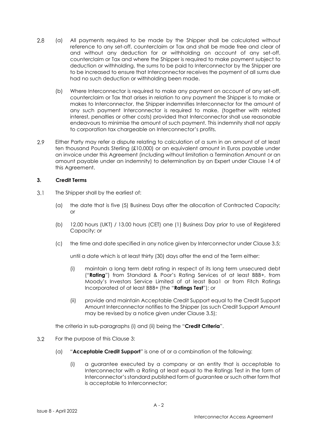- 2.8 (a) All payments required to be made by the Shipper shall be calculated without reference to any set-off, counterclaim or Tax and shall be made free and clear of and without any deduction for or withholding on account of any set-off, counterclaim or Tax and where the Shipper is required to make payment subject to deduction or withholding, the sums to be paid to Interconnector by the Shipper are to be increased to ensure that Interconnector receives the payment of all sums due had no such deduction or withholding been made.
	- (b) Where Interconnector is required to make any payment on account of any set-off, counterclaim or Tax that arises in relation to any payment the Shipper is to make or makes to Interconnector, the Shipper indemnifies Interconnector for the amount of any such payment Interconnector is required to make, (together with related interest, penalties or other costs) provided that Interconnector shall use reasonable endeavours to minimise the amount of such payment. This indemnity shall not apply to corporation tax chargeable on Interconnector's profits.
- $29$ Either Party may refer a dispute relating to calculation of a sum in an amount of at least ten thousand Pounds Sterling (£10,000) or an equivalent amount in Euros payable under an invoice under this Agreement (including without limitation a Termination Amount or an amount payable under an indemnity) to determination by an Expert under Clause 14 of this Agreement.

### **3. Credit Terms**

- $3.1$ The Shipper shall by the earliest of:
	- (a) the date that is five (5) Business Days after the allocation of Contracted Capacity; or
	- (b) 12.00 hours (UKT) / 13.00 hours (CET) one (1) Business Day prior to use of Registered Capacity; or
	- (c) the time and date specified in any notice given by Interconnector under Clause 3.5;

until a date which is at least thirty (30) days after the end of the Term either:

- (i) maintain a long term debt rating in respect of its long term unsecured debt ("**Rating**") from Standard & Poor's Rating Services of at least BBB+, from Moody's Investors Service Limited of at least Baa1 or from Fitch Ratings Incorporated of at least BBB+ (the "**Ratings Test**"); or
- (ii) provide and maintain Acceptable Credit Support equal to the Credit Support Amount Interconnector notifies to the Shipper (as such Credit Support Amount may be revised by a notice given under Clause 3.5);

the criteria in sub-paragraphs (i) and (ii) being the "**Credit Criteria**".

- $3.2$ For the purpose of this Clause 3:
	- (a) "**Acceptable Credit Support**" is one of or a combination of the following:
		- (i) a guarantee executed by a company or an entity that is acceptable to Interconnector with a Rating at least equal to the Ratings Test in the form of Interconnector's standard published form of guarantee or such other form that is acceptable to Interconnector;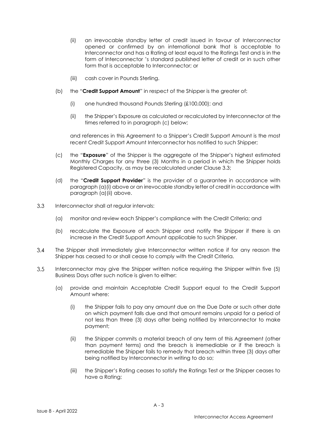- (ii) an irrevocable standby letter of credit issued in favour of Interconnector opened or confirmed by an international bank that is acceptable to Interconnector and has a Rating at least equal to the Ratings Test and is in the form of Interconnector 's standard published letter of credit or in such other form that is acceptable to Interconnector; or
- (iii) cash cover in Pounds Sterling.
- (b) the "**Credit Support Amount**" in respect of the Shipper is the greater of:
	- (i) one hundred thousand Pounds Sterling (£100,000); and
	- (ii) the Shipper's Exposure as calculated or recalculated by Interconnector at the times referred to in paragraph (c) below;

and references in this Agreement to a Shipper's Credit Support Amount is the most recent Credit Support Amount Interconnector has notified to such Shipper;

- (c) the "**Exposure**" of the Shipper is the aggregate of the Shipper's highest estimated Monthly Charges for any three (3) Months in a period in which the Shipper holds Registered Capacity, as may be recalculated under Clause 3.3;
- (d) the "**Credit Support Provider**" is the provider of a guarantee in accordance with paragraph (a)(i) above or an irrevocable standby letter of credit in accordance with paragraph (a)(ii) above.
- $3.3$ Interconnector shall at regular intervals:
	- (a) monitor and review each Shipper's compliance with the Credit Criteria; and
	- (b) recalculate the Exposure of each Shipper and notify the Shipper if there is an increase in the Credit Support Amount applicable to such Shipper.
- $3.4$ The Shipper shall immediately give Interconnector written notice if for any reason the Shipper has ceased to or shall cease to comply with the Credit Criteria.
- $3.5$ Interconnector may give the Shipper written notice requiring the Shipper within five (5) Business Days after such notice is given to either:
	- (a) provide and maintain Acceptable Credit Support equal to the Credit Support Amount where:
		- (i) the Shipper fails to pay any amount due on the Due Date or such other date on which payment falls due and that amount remains unpaid for a period of not less than three (3) days after being notified by Interconnector to make payment;
		- (ii) the Shipper commits a material breach of any term of this Agreement (other than payment terms) and the breach is irremediable or if the breach is remediable the Shipper fails to remedy that breach within three (3) days after being notified by Interconnector in writing to do so;
		- (iii) the Shipper's Rating ceases to satisfy the Ratings Test or the Shipper ceases to have a Rating;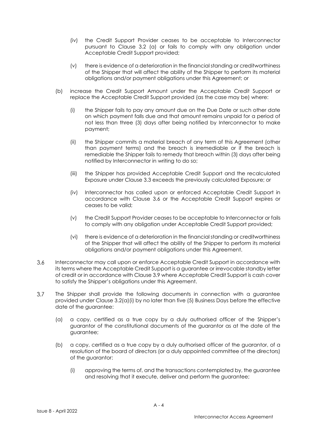- (iv) the Credit Support Provider ceases to be acceptable to Interconnector pursuant to Clause 3.2 (a) or fails to comply with any obligation under Acceptable Credit Support provided;
- (v) there is evidence of a deterioration in the financial standing or creditworthiness of the Shipper that will affect the ability of the Shipper to perform its material obligations and/or payment obligations under this Agreement; or
- (b) increase the Credit Support Amount under the Acceptable Credit Support or replace the Acceptable Credit Support provided (as the case may be) where:
	- (i) the Shipper fails to pay any amount due on the Due Date or such other date on which payment falls due and that amount remains unpaid for a period of not less than three (3) days after being notified by Interconnector to make payment;
	- (ii) the Shipper commits a material breach of any term of this Agreement (other than payment terms) and the breach is irremediable or if the breach is remediable the Shipper fails to remedy that breach within (3) days after being notified by Interconnector in writing to do so;
	- (iii) the Shipper has provided Acceptable Credit Support and the recalculated Exposure under Clause 3.3 exceeds the previously calculated Exposure; or
	- (iv) Interconnector has called upon or enforced Acceptable Credit Support in accordance with Clause 3.6 or the Acceptable Credit Support expires or ceases to be valid;
	- (v) the Credit Support Provider ceases to be acceptable to Interconnector or fails to comply with any obligation under Acceptable Credit Support provided;
	- (vi) there is evidence of a deterioration in the financial standing or creditworthiness of the Shipper that will affect the ability of the Shipper to perform its material obligations and/or payment obligations under this Agreement.
- $3.6$ Interconnector may call upon or enforce Acceptable Credit Support in accordance with its terms where the Acceptable Credit Support is a guarantee or irrevocable standby letter of credit or in accordance with Clause 3.9 where Acceptable Credit Support is cash cover to satisfy the Shipper's obligations under this Agreement.
- $3.7$ The Shipper shall provide the following documents in connection with a guarantee provided under Clause 3.2(a)(i) by no later than five (5) Business Days before the effective date of the guarantee:
	- (a) a copy, certified as a true copy by a duly authorised officer of the Shipper's guarantor of the constitutional documents of the guarantor as at the date of the guarantee;
	- (b) a copy, certified as a true copy by a duly authorised officer of the guarantor, of a resolution of the board of directors (or a duly appointed committee of the directors) of the guarantor:
		- (i) approving the terms of, and the transactions contemplated by, the guarantee and resolving that it execute, deliver and perform the guarantee;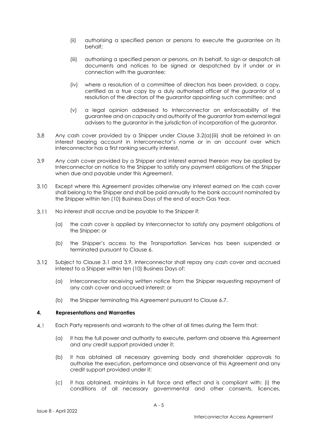- (ii) authorising a specified person or persons to execute the guarantee on its behalf;
- (iii) authorising a specified person or persons, on its behalf, to sign or despatch all documents and notices to be signed or despatched by it under or in connection with the guarantee;
- (iv) where a resolution of a committee of directors has been provided, a copy, certified as a true copy by a duly authorised officer of the guarantor of a resolution of the directors of the guarantor appointing such committee; and
- (v) a legal opinion addressed to Interconnector on enforceability of the guarantee and on capacity and authority of the guarantor from external legal advisers to the guarantor in the jurisdiction of incorporation of the guarantor.
- $3.8$ Any cash cover provided by a Shipper under Clause 3.2(a)(iii) shall be retained in an interest bearing account in Interconnector's name or in an account over which Interconnector has a first ranking security interest.
- 3.9 Any cash cover provided by a Shipper and interest earned thereon may be applied by Interconnector on notice to the Shipper to satisfy any payment obligations of the Shipper when due and payable under this Agreement.
- $310$ Except where this Agreement provides otherwise any interest earned on the cash cover shall belong to the Shipper and shall be paid annually to the bank account nominated by the Shipper within ten (10) Business Days of the end of each Gas Year.
- $3.11$ No interest shall accrue and be payable to the Shipper if:
	- (a) the cash cover is applied by Interconnector to satisfy any payment obligations of the Shipper; or
	- (b) the Shipper's access to the Transportation Services has been suspended or terminated pursuant to Clause 6.
- $3.12$ Subject to Clause 3.1 and 3.9, Interconnector shall repay any cash cover and accrued interest to a Shipper within ten (10) Business Days of:
	- (a) Interconnector receiving written notice from the Shipper requesting repayment of any cash cover and accrued interest; or
	- (b) the Shipper terminating this Agreement pursuant to Clause 6.7.

#### **4. Representations and Warranties**

- $4.1$ Each Party represents and warrants to the other at all times during the Term that:
	- (a) it has the full power and authority to execute, perform and observe this Agreement and any credit support provided under it;
	- (b) it has obtained all necessary governing body and shareholder approvals to authorise the execution, performance and observance of this Agreement and any credit support provided under it;
	- (c) it has obtained, maintains in full force and effect and is compliant with: (i) the conditions of all necessary governmental and other consents, licences,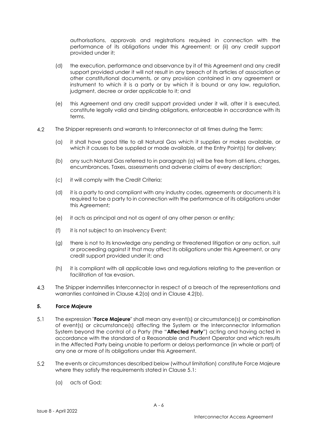authorisations, approvals and registrations required in connection with the performance of its obligations under this Agreement; or (ii) any credit support provided under it;

- (d) the execution, performance and observance by it of this Agreement and any credit support provided under it will not result in any breach of its articles of association or other constitutional documents, or any provision contained in any agreement or instrument to which it is a party or by which it is bound or any law, regulation, judgment, decree or order applicable to it; and
- (e) this Agreement and any credit support provided under it will, after it is executed, constitute legally valid and binding obligations, enforceable in accordance with its terms.
- 4.2 The Shipper represents and warrants to Interconnector at all times during the Term:
	- (a) it shall have good title to all Natural Gas which it supplies or makes available, or which it causes to be supplied or made available, at the Entry Point(s) for delivery;
	- (b) any such Natural Gas referred to in paragraph (a) will be free from all liens, charges, encumbrances, Taxes, assessments and adverse claims of every description;
	- (c) it will comply with the Credit Criteria;
	- (d) it is a party to and compliant with any industry codes, agreements or documents it is required to be a party to in connection with the performance of its obligations under this Agreement;
	- (e) it acts as principal and not as agent of any other person or entity;
	- (f) it is not subject to an Insolvency Event;
	- (g) there is not to its knowledge any pending or threatened litigation or any action, suit or proceeding against it that may affect its obligations under this Agreement, or any credit support provided under it; and
	- (h) it is compliant with all applicable laws and regulations relating to the prevention or facilitation of tax evasion.
- $4.3$ The Shipper indemnifies Interconnector in respect of a breach of the representations and warranties contained in Clause 4.2(a) and in Clause 4.2(b).

#### **5. Force Majeure**

- $5.1$ The expression "**Force Majeure**" shall mean any event(s) or circumstance(s) or combination of event(s) or circumstance(s) affecting the System or the Interconnector Information System beyond the control of a Party (the "**Affected Party**") acting and having acted in accordance with the standard of a Reasonable and Prudent Operator and which results in the Affected Party being unable to perform or delays performance (in whole or part) of any one or more of its obligations under this Agreement.
- $5.2$ The events or circumstances described below (without limitation) constitute Force Majeure where they satisfy the requirements stated in Clause 5.1:
	- (a) acts of God;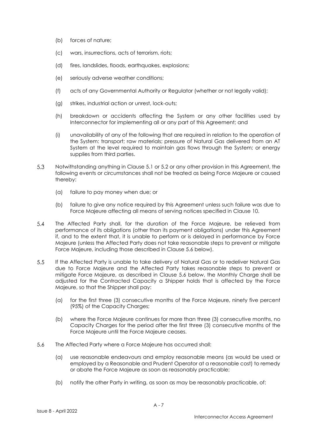- (b) forces of nature;
- (c) wars, insurrections, acts of terrorism, riots;
- (d) fires, landslides, floods, earthquakes, explosions;
- (e) seriously adverse weather conditions;
- (f) acts of any Governmental Authority or Regulator (whether or not legally valid);
- (g) strikes, industrial action or unrest, lock-outs;
- (h) breakdown or accidents affecting the System or any other facilities used by Interconnector for implementing all or any part of this Agreement; and
- (i) unavailability of any of the following that are required in relation to the operation of the System: transport; raw materials; pressure of Natural Gas delivered from an AT System at the level required to maintain gas flows through the System; or energy supplies from third parties.
- 5.3 Notwithstanding anything in Clause 5.1 or 5.2 or any other provision in this Agreement, the following events or circumstances shall not be treated as being Force Majeure or caused thereby:
	- (a) failure to pay money when due; or
	- (b) failure to give any notice required by this Agreement unless such failure was due to Force Majeure affecting all means of serving notices specified in Clause 10.
- $5.4$ The Affected Party shall, for the duration of the Force Majeure, be relieved from performance of its obligations (other than its payment obligations) under this Agreement if, and to the extent that, it is unable to perform or is delayed in performance by Force Majeure (unless the Affected Party does not take reasonable steps to prevent or mitigate Force Majeure, including those described in Clause 5.6 below).
- $5.5$ If the Affected Party is unable to take delivery of Natural Gas or to redeliver Natural Gas due to Force Majeure and the Affected Party takes reasonable steps to prevent or mitigate Force Majeure, as described in Clause 5.6 below, the Monthly Charge shall be adjusted for the Contracted Capacity a Shipper holds that is affected by the Force Majeure, so that the Shipper shall pay:
	- (a) for the first three (3) consecutive months of the Force Majeure, ninety five percent (95%) of the Capacity Charges;
	- (b) where the Force Majeure continues for more than three (3) consecutive months, no Capacity Charges for the period after the first three (3) consecutive months of the Force Majeure until the Force Majeure ceases.
- 5.6 The Affected Party where a Force Majeure has occurred shall:
	- (a) use reasonable endeavours and employ reasonable means (as would be used or employed by a Reasonable and Prudent Operator at a reasonable cost) to remedy or abate the Force Majeure as soon as reasonably practicable;
	- (b) notify the other Party in writing, as soon as may be reasonably practicable, of: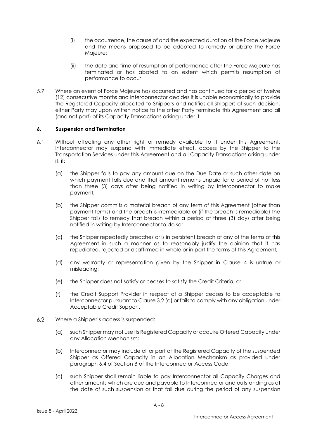- (i) the occurrence, the cause of and the expected duration of the Force Majeure and the means proposed to be adopted to remedy or abate the Force Majeure;
- (ii) the date and time of resumption of performance after the Force Majeure has terminated or has abated to an extent which permits resumption of performance to occur.
- 5.7 Where an event of Force Majeure has occurred and has continued for a period of twelve (12) consecutive months and Interconnector decides it is unable economically to provide the Registered Capacity allocated to Shippers and notifies all Shippers of such decision, either Party may upon written notice to the other Party terminate this Agreement and all (and not part) of its Capacity Transactions arising under it.

#### **6. Suspension and Termination**

- $6.1$ Without affecting any other right or remedy available to it under this Agreement, Interconnector may suspend with immediate effect, access by the Shipper to the Transportation Services under this Agreement and all Capacity Transactions arising under it, if:
	- (a) the Shipper fails to pay any amount due on the Due Date or such other date on which payment falls due and that amount remains unpaid for a period of not less than three (3) days after being notified in writing by Interconnector to make payment;
	- (b) the Shipper commits a material breach of any term of this Agreement (other than payment terms) and the breach is irremediable or (if the breach is remediable) the Shipper fails to remedy that breach within a period of three (3) days after being notified in writing by Interconnector to do so;
	- (c) the Shipper repeatedly breaches or is in persistent breach of any of the terms of this Agreement in such a manner as to reasonably justify the opinion that it has repudiated, rejected or disaffirmed in whole or in part the terms of this Agreement;
	- (d) any warranty or representation given by the Shipper in Clause 4 is untrue or misleading;
	- (e) the Shipper does not satisfy or ceases to satisfy the Credit Criteria; or
	- (f) the Credit Support Provider in respect of a Shipper ceases to be acceptable to Interconnector pursuant to Clause 3.2 (a) or fails to comply with any obligation under Acceptable Credit Support.
- $6.2$ Where a Shipper's access is suspended:
	- (a) such Shipper may not use its Registered Capacity or acquire Offered Capacity under any Allocation Mechanism;
	- (b) Interconnector may include all or part of the Registered Capacity of the suspended Shipper as Offered Capacity in an Allocation Mechanism as provided under paragraph 6.4 of Section B of the Interconnector Access Code;
	- (c) such Shipper shall remain liable to pay Interconnector all Capacity Charges and other amounts which are due and payable to Interconnector and outstanding as at the date of such suspension or that fall due during the period of any suspension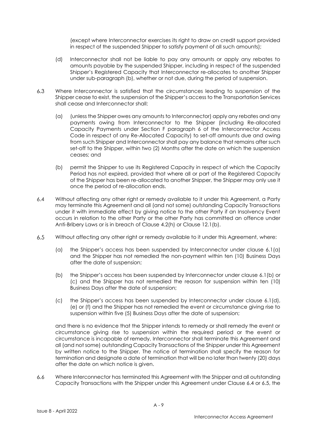(except where Interconnector exercises its right to draw on credit support provided in respect of the suspended Shipper to satisfy payment of all such amounts);

- (d) Interconnector shall not be liable to pay any amounts or apply any rebates to amounts payable by the suspended Shipper, including in respect of the suspended Shipper's Registered Capacity that Interconnector re-allocates to another Shipper under sub-paragraph (b), whether or not due, during the period of suspension.
- $6.3$ Where Interconnector is satisfied that the circumstances leading to suspension of the Shipper cease to exist, the suspension of the Shipper's access to the Transportation Services shall cease and Interconnector shall:
	- (a) (unless the Shipper owes any amounts to Interconnector) apply any rebates and any payments owing from Interconnector to the Shipper (including Re-allocated Capacity Payments under Section F paragraph 6 of the Interconnector Access Code in respect of any Re-Allocated Capacity) to set-off amounts due and owing from such Shipper and Interconnector shall pay any balance that remains after such set-off to the Shipper, within two (2) Months after the date on which the suspension ceases; and
	- (b) permit the Shipper to use its Registered Capacity in respect of which the Capacity Period has not expired, provided that where all or part of the Registered Capacity of the Shipper has been re-allocated to another Shipper, the Shipper may only use it once the period of re-allocation ends.
- $6.4$ Without affecting any other right or remedy available to it under this Agreement, a Party may terminate this Agreement and all (and not some) outstanding Capacity Transactions under it with immediate effect by giving notice to the other Party if an Insolvency Event occurs in relation to the other Party or the other Party has committed an offence under Anti-Bribery Laws or is in breach of Clause 4.2(h) or Clause 12.1(b).
- $6.5$ Without affecting any other right or remedy available to it under this Agreement, where:
	- (a) the Shipper's access has been suspended by Interconnector under clause 6.1(a) and the Shipper has not remedied the non-payment within ten (10) Business Days after the date of suspension;
	- (b) the Shipper's access has been suspended by Interconnector under clause 6.1(b) or (c) and the Shipper has not remedied the reason for suspension within ten (10) Business Days after the date of suspension;
	- (c) the Shipper's access has been suspended by Interconnector under clause 6.1(d), (e) or (f) and the Shipper has not remedied the event or circumstance giving rise to suspension within five (5) Business Days after the date of suspension;

and there is no evidence that the Shipper intends to remedy or shall remedy the event or circumstance giving rise to suspension within the required period or the event or circumstance is incapable of remedy, Interconnector shall terminate this Agreement and all (and not some) outstanding Capacity Transactions of the Shipper under this Agreement by written notice to the Shipper. The notice of termination shall specify the reason for termination and designate a date of termination that will be no later than twenty (20) days after the date on which notice is given.

 $6.6$ Where Interconnector has terminated this Agreement with the Shipper and all outstanding Capacity Transactions with the Shipper under this Agreement under Clause 6.4 or 6.5, the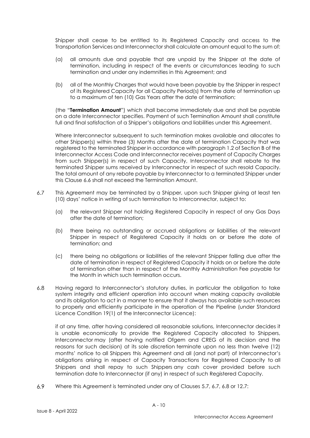Shipper shall cease to be entitled to its Registered Capacity and access to the Transportation Services and Interconnector shall calculate an amount equal to the sum of:

- (a) all amounts due and payable that are unpaid by the Shipper at the date of termination, including in respect of the events or circumstances leading to such termination and under any indemnities in this Agreement; and
- (b) all of the Monthly Charges that would have been payable by the Shipper in respect of its Registered Capacity for all Capacity Period(s) from the date of termination up to a maximum of ten (10) Gas Years after the date of termination;

(the "**Termination Amount**") which shall become immediately due and shall be payable on a date Interconnector specifies. Payment of such Termination Amount shall constitute full and final satisfaction of a Shipper's obligations and liabilities under this Agreement.

Where Interconnector subsequent to such termination makes available and allocates to other Shipper(s) within three (3) Months after the date of termination Capacity that was registered to the terminated Shipper in accordance with paragraph 1.2 of Section B of the Interconnector Access Code and Interconnector receives payment of Capacity Charges from such Shipper(s) in respect of such Capacity, Interconnector shall rebate to the terminated Shipper sums received by Interconnector in respect of such resold Capacity. The total amount of any rebate payable by Interconnector to a terminated Shipper under this Clause 6.6 shall not exceed the Termination Amount.

- $6.7$ This Agreement may be terminated by a Shipper, upon such Shipper giving at least ten (10) days' notice in writing of such termination to Interconnector, subject to:
	- (a) the relevant Shipper not holding Registered Capacity in respect of any Gas Days after the date of termination;
	- (b) there being no outstanding or accrued obligations or liabilities of the relevant Shipper in respect of Registered Capacity it holds on or before the date of termination; and
	- (c) there being no obligations or liabilities of the relevant Shipper falling due after the date of termination in respect of Registered Capacity it holds on or before the date of termination other than in respect of the Monthly Administration Fee payable for the Month in which such termination occurs.
- $6.8$ Having regard to Interconnector's statutory duties, in particular the obligation to take system integrity and efficient operation into account when making capacity available and its obligation to act in a manner to ensure that it always has available such resources to properly and efficiently participate in the operation of the Pipeline (under Standard Licence Condition 19(1) of the Interconnector Licence):

if at any time, after having considered all reasonable solutions, Interconnector decides it is unable economically to provide the Registered Capacity allocated to Shippers, Interconnector may (after having notified Ofgem and CREG of its decision and the reasons for such decision) at its sole discretion terminate upon no less than twelve (12) months' notice to all Shippers this Agreement and all (and not part) of Interconnector's obligations arising in respect of Capacity Transactions for Registered Capacity to all Shippers and shall repay to such Shippers any cash cover provided before such termination date to Interconnector (if any) in respect of such Registered Capacity.

6.9 Where this Agreement is terminated under any of Clauses 5.7, 6.7, 6.8 or 12.7: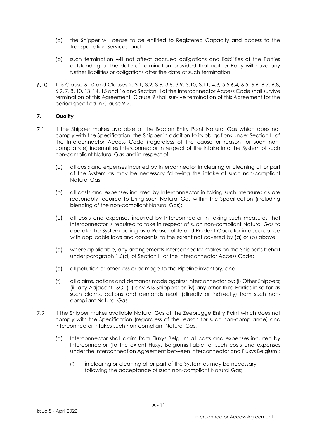- (a) the Shipper will cease to be entitled to Registered Capacity and access to the Transportation Services; and
- (b) such termination will not affect accrued obligations and liabilities of the Parties outstanding at the date of termination provided that neither Party will have any further liabilities or obligations after the date of such termination.
- This Clause 6.10 and Clauses 2, 3.1, 3.2, 3.6, 3.8, 3.9, 3.10, 3.11, 4.3, 5.5,6.4, 6.5, 6.6, 6.7, 6.8,  $6.10$ 6.9, 7, 8, 10, 13, 14, 15 and 16 and Section H of the Interconnector Access Code shall survive termination of this Agreement. Clause 9 shall survive termination of this Agreement for the period specified in Clause 9.2.

### **7. Quality**

- $7.1$ If the Shipper makes available at the Bacton Entry Point Natural Gas which does not comply with the Specification, the Shipper in addition to its obligations under Section H of the Interconnector Access Code (regardless of the cause or reason for such noncompliance) indemnifies Interconnector in respect of the intake into the System of such non-compliant Natural Gas and in respect of:
	- (a) all costs and expenses incurred by Interconnector in clearing or cleaning all or part of the System as may be necessary following the intake of such non-compliant Natural Gas;
	- (b) all costs and expenses incurred by Interconnector in taking such measures as are reasonably required to bring such Natural Gas within the Specification (including blending of the non-compliant Natural Gas);
	- (c) all costs and expenses incurred by Interconnector in taking such measures that Interconnector is required to take in respect of such non-compliant Natural Gas to operate the System acting as a Reasonable and Prudent Operator in accordance with applicable laws and consents, to the extent not covered by (a) or (b) above;
	- (d) where applicable, any arrangements Interconnector makes on the Shipper's behalf under paragraph 1.6(d) of Section H of the Interconnector Access Code;
	- (e) all pollution or other loss or damage to the Pipeline inventory; and
	- (f) all claims, actions and demands made against Interconnector by: (i) Other Shippers; (ii) any Adjacent TSO; (iii) any ATS Shippers; or (iv) any other third Parties in so far as such claims, actions and demands result (directly or indirectly) from such noncompliant Natural Gas.
- $7.2$ If the Shipper makes available Natural Gas at the Zeebrugge Entry Point which does not comply with the Specification (regardless of the reason for such non-compliance) and Interconnector intakes such non-compliant Natural Gas:
	- (a) Interconnector shall claim from Fluxys Belgium all costs and expenses incurred by Interconnector (to the extent Fluxys Belgiumis liable for such costs and expenses under the Interconnection Agreement between Interconnector and Fluxys Belgium):
		- (i) in clearing or cleaning all or part of the System as may be necessary following the acceptance of such non-compliant Natural Gas;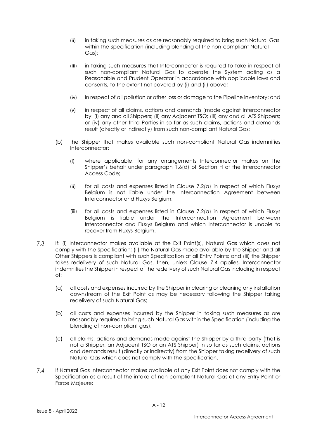- (ii) in taking such measures as are reasonably required to bring such Natural Gas within the Specification (including blending of the non-compliant Natural Gas);
- (iii) in taking such measures that Interconnector is required to take in respect of such non-compliant Natural Gas to operate the System acting as a Reasonable and Prudent Operator in accordance with applicable laws and consents, to the extent not covered by (i) and (ii) above;
- (iv) in respect of all pollution or other loss or damage to the Pipeline inventory; and
- (v) in respect of all claims, actions and demands (made against Interconnector by: (i) any and all Shippers; (ii) any Adjacent TSO; (iii) any and all ATS Shippers; or (iv) any other third Parties in so far as such claims, actions and demands result (directly or indirectly) from such non-compliant Natural Gas;
- (b) the Shipper that makes available such non-compliant Natural Gas indemnifies Interconnector:
	- (i) where applicable, for any arrangements Interconnector makes on the Shipper's behalf under paragraph 1.6(d) of Section H of the Interconnector Access Code;
	- (ii) for all costs and expenses listed in Clause 7.2(a) in respect of which Fluxys Belgium is not liable under the Interconnection Agreement between Interconnector and Fluxys Belgium;
	- (iii) for all costs and expenses listed in Clause 7.2(a) in respect of which Fluxys Belgium is liable under the Interconnection Agreement between Interconnector and Fluxys Belgium and which Interconnector is unable to recover from Fluxys Belgium.
- $7.3$ If: (i) Interconnector makes available at the Exit Point(s), Natural Gas which does not comply with the Specification; (ii) the Natural Gas made available by the Shipper and all Other Shippers is compliant with such Specification at all Entry Points; and (iii) the Shipper takes redelivery of such Natural Gas, then, unless Clause 7.4 applies, Interconnector indemnifies the Shipper in respect of the redelivery of such Natural Gas including in respect of:
	- (a) all costs and expenses incurred by the Shipper in clearing or cleaning any installation downstream of the Exit Point as may be necessary following the Shipper taking redelivery of such Natural Gas;
	- (b) all costs and expenses incurred by the Shipper in taking such measures as are reasonably required to bring such Natural Gas within the Specification (including the blending of non-compliant gas);
	- (c) all claims, actions and demands made against the Shipper by a third party (that is not a Shipper, an Adjacent TSO or an ATS Shipper) in so far as such claims, actions and demands result (directly or indirectly) from the Shipper taking redelivery of such Natural Gas which does not comply with the Specification.
- $7.4$ If Natural Gas Interconnector makes available at any Exit Point does not comply with the Specification as a result of the intake of non-compliant Natural Gas at any Entry Point or Force Majeure: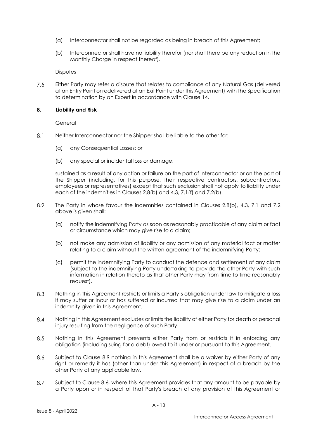- (a) Interconnector shall not be regarded as being in breach of this Agreement;
- (b) Interconnector shall have no liability therefor (nor shall there be any reduction in the Monthly Charge in respect thereof).

**Disputes** 

 $7.5$ Either Party may refer a dispute that relates to compliance of any Natural Gas (delivered at an Entry Point or redelivered at an Exit Point under this Agreement) with the Specification to determination by an Expert in accordance with Clause 14.

#### **8. Liability and Risk**

General

- $8.1$ Neither Interconnector nor the Shipper shall be liable to the other for:
	- (a) any Consequential Losses; or
	- (b) any special or incidental loss or damage;

sustained as a result of any action or failure on the part of Interconnector or on the part of the Shipper (including, for this purpose, their respective contractors, subcontractors, employees or representatives) except that such exclusion shall not apply to liability under each of the indemnities in Clauses 2.8(b) and 4.3, 7.1(f) and 7.2(b).

- 8.2 The Party in whose favour the indemnities contained in Clauses 2.8(b), 4.3, 7.1 and 7.2 above is given shall:
	- (a) notify the indemnifying Party as soon as reasonably practicable of any claim or fact or circumstance which may give rise to a claim;
	- (b) not make any admission of liability or any admission of any material fact or matter relating to a claim without the written agreement of the indemnifying Party;
	- (c) permit the indemnifying Party to conduct the defence and settlement of any claim (subject to the indemnifying Party undertaking to provide the other Party with such information in relation thereto as that other Party may from time to time reasonably request).
- 8.3 Nothing in this Agreement restricts or limits a Party's obligation under law to mitigate a loss it may suffer or incur or has suffered or incurred that may give rise to a claim under an indemnity given in this Agreement.
- 8.4 Nothing in this Agreement excludes or limits the liability of either Party for death or personal injury resulting from the negligence of such Party.
- 8.5 Nothing in this Agreement prevents either Party from or restricts it in enforcing any obligation (including suing for a debt) owed to it under or pursuant to this Agreement.
- 8.6 Subject to Clause 8.9 nothing in this Agreement shall be a waiver by either Party of any right or remedy it has (other than under this Agreement) in respect of a breach by the other Party of any applicable law.
- 8.7 Subject to Clause 8.6, where this Agreement provides that any amount to be payable by a Party upon or in respect of that Party's breach of any provision of this Agreement or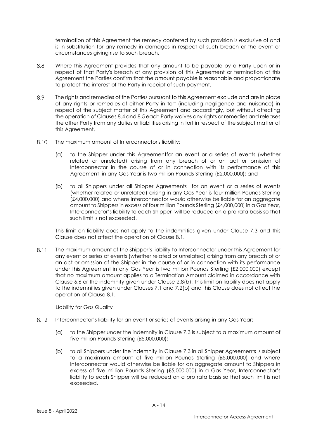termination of this Agreement the remedy conferred by such provision is exclusive of and is in substitution for any remedy in damages in respect of such breach or the event or circumstances giving rise to such breach.

- 8.8 Where this Agreement provides that any amount to be payable by a Party upon or in respect of that Party's breach of any provision of this Agreement or termination of this Agreement the Parties confirm that the amount payable is reasonable and proportionate to protect the interest of the Party in receipt of such payment.
- 8.9 The rights and remedies of the Parties pursuant to this Agreement exclude and are in place of any rights or remedies of either Party in tort (including negligence and nuisance) in respect of the subject matter of this Agreement and accordingly, but without affecting the operation of Clauses 8.4 and 8.5 each Party waives any rights or remedies and releases the other Party from any duties or liabilities arising in tort in respect of the subject matter of this Agreement.
- 8.10 The maximum amount of Interconnector's liability:
	- (a) to the Shipper under this Agreementfor an event or a series of events (whether related or unrelated) arising from any breach of or an act or omission of Interconnector in the course of or in connection with its performance of this Agreement in any Gas Year is two million Pounds Sterling (£2,000,000); and
	- (b) to all Shippers under all Shipper Agreements for an event or a series of events (whether related or unrelated) arising in any Gas Year is four million Pounds Sterling (£4,000,000) and where Interconnector would otherwise be liable for an aggregate amount to Shippers in excess of four million Pounds Sterling (£4,000,000) in a Gas Year, Interconnector's liability to each Shipper will be reduced on a pro rata basis so that such limit is not exceeded.

This limit on liability does not apply to the indemnities given under Clause 7.3 and this Clause does not affect the operation of Clause 8.1.

8.11 The maximum amount of the Shipper's liability to Interconnector under this Agreement for any event or series of events (whether related or unrelated) arising from any breach of or an act or omission of the Shipper in the course of or in connection with its performance under this Agreement in any Gas Year is two million Pounds Sterling (£2,000,000) except that no maximum amount applies to a Termination Amount claimed in accordance with Clause 6.6 or the indemnity given under Clause 2.8(b). This limit on liability does not apply to the indemnities given under Clauses 7.1 and 7.2(b) and this Clause does not affect the operation of Clause 8.1.

Liability for Gas Quality

- 8.12 Interconnector's liability for an event or series of events arising in any Gas Year:
	- (a) to the Shipper under the indemnity in Clause 7.3 is subject to a maximum amount of five million Pounds Sterling (£5,000,000);
	- (b) to all Shippers under the indemnity in Clause 7.3 in all Shipper Agreements is subject to a maximum amount of five million Pounds Sterling (£5,000,000) and where Interconnector would otherwise be liable for an aggregate amount to Shippers in excess of five million Pounds Sterling (£5,000,000) in a Gas Year, Interconnector's liability to each Shipper will be reduced on a pro rata basis so that such limit is not exceeded.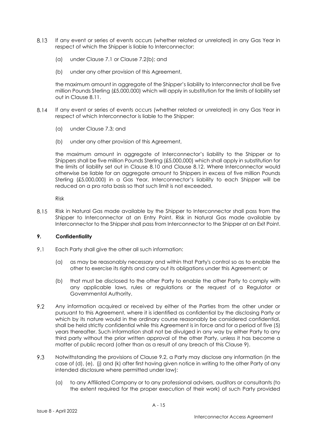- 8.13 If any event or series of events occurs (whether related or unrelated) in any Gas Year in respect of which the Shipper is liable to Interconnector:
	- (a) under Clause 7.1 or Clause 7.2(b); and
	- (b) under any other provision of this Agreement,

the maximum amount in aggregate of the Shipper's liability to Interconnector shall be five million Pounds Sterling (£5,000,000) which will apply in substitution for the limits of liability set out in Clause 8.11.

- $8.14$ If any event or series of events occurs (whether related or unrelated) in any Gas Year in respect of which Interconnector is liable to the Shipper:
	- (a) under Clause 7.3; and
	- (b) under any other provision of this Agreement,

the maximum amount in aggregate of Interconnector's liability to the Shipper or to Shippers shall be five million Pounds Sterling (£5,000,000) which shall apply in substitution for the limits of liability set out in Clause 8.10 and Clause 8.12. Where Interconnector would otherwise be liable for an aggregate amount to Shippers in excess of five million Pounds Sterling (£5,000,000) in a Gas Year, Interconnector's liability to each Shipper will be reduced on a pro rata basis so that such limit is not exceeded.

Risk

8.15 Risk in Natural Gas made available by the Shipper to Interconnector shall pass from the Shipper to Interconnector at an Entry Point. Risk in Natural Gas made available by Interconnector to the Shipper shall pass from Interconnector to the Shipper at an Exit Point.

#### **9. Confidentiality**

- 9.1 Each Party shall give the other all such information:
	- (a) as may be reasonably necessary and within that Party's control so as to enable the other to exercise its rights and carry out its obligations under this Agreement; or
	- (b) that must be disclosed to the other Party to enable the other Party to comply with any applicable laws, rules or regulations or the request of a Regulator or Governmental Authority.
- 9.2 Any information acquired or received by either of the Parties from the other under or pursuant to this Agreement, where it is identified as confidential by the disclosing Party or which by its nature would in the ordinary course reasonably be considered confidential, shall be held strictly confidential while this Agreement is in force and for a period of five (5) years thereafter. Such information shall not be divulged in any way by either Party to any third party without the prior written approval of the other Party, unless it has become a matter of public record (other than as a result of any breach of this Clause 9).
- 9.3 Notwithstanding the provisions of Clause 9.2, a Party may disclose any information (in the case of (d), (e), (j) and (k) after first having given notice in writing to the other Party of any intended disclosure where permitted under law):
	- (a) to any Affiliated Company or to any professional advisers, auditors or consultants (to the extent required for the proper execution of their work) of such Party provided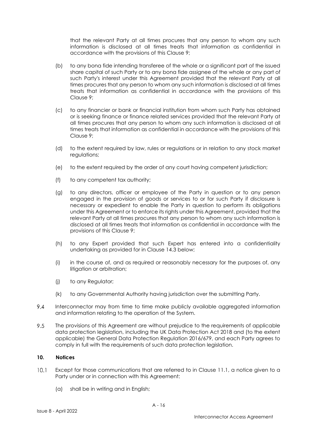that the relevant Party at all times procures that any person to whom any such information is disclosed at all times treats that information as confidential in accordance with the provisions of this Clause 9;

- (b) to any bona fide intending transferee of the whole or a significant part of the issued share capital of such Party or to any bona fide assignee of the whole or any part of such Party's interest under this Agreement provided that the relevant Party at all times procures that any person to whom any such information is disclosed at all times treats that information as confidential in accordance with the provisions of this Clause 9;
- (c) to any financier or bank or financial institution from whom such Party has obtained or is seeking finance or finance related services provided that the relevant Party at all times procures that any person to whom any such information is disclosed at all times treats that information as confidential in accordance with the provisions of this Clause 9;
- (d) to the extent required by law, rules or regulations or in relation to any stock market regulations:
- (e) to the extent required by the order of any court having competent jurisdiction;
- (f) to any competent tax authority;
- (g) to any directors, officer or employee of the Party in question or to any person engaged in the provision of goods or services to or for such Party if disclosure is necessary or expedient to enable the Party in question to perform its obligations under this Agreement or to enforce its rights under this Agreement, provided that the relevant Party at all times procures that any person to whom any such information is disclosed at all times treats that information as confidential in accordance with the provisions of this Clause 9;
- (h) to any Expert provided that such Expert has entered into a confidentiality undertaking as provided for in Clause 14.3 below;
- (i) in the course of, and as required or reasonably necessary for the purposes of, any litigation or arbitration;
- (j) to any Regulator;
- (k) to any Governmental Authority having jurisdiction over the submitting Party.
- 9.4 Interconnector may from time to time make publicly available aggregated information and information relating to the operation of the System.
- 9.5 The provisions of this Agreement are without prejudice to the requirements of applicable data protection legislation, including the UK Data Protection Act 2018 and (to the extent applicable) the General Data Protection Regulation 2016/679, and each Party agrees to comply in full with the requirements of such data protection legislation.

### **10. Notices**

- $10.1$ Except for those communications that are referred to in Clause 11.1, a notice given to a Party under or in connection with this Agreement:
	- (a) shall be in writing and in English;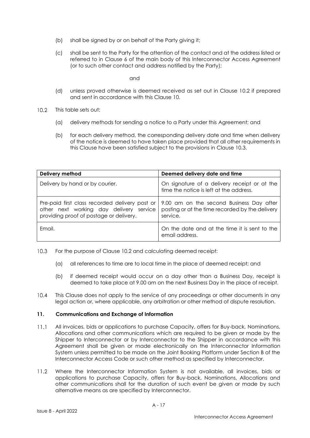- (b) shall be signed by or on behalf of the Party giving it;
- (c) shall be sent to the Party for the attention of the contact and at the address listed or referred to in Clause 6 of the main body of this Interconnector Access Agreement (or to such other contact and address notified by the Party);

and

- (d) unless proved otherwise is deemed received as set out in Clause 10.2 if prepared and sent in accordance with this Clause 10.
- $10.2<sup>1</sup>$ This table sets out:
	- (a) delivery methods for sending a notice to a Party under this Agreement; and
	- (b) for each delivery method, the corresponding delivery date and time when delivery of the notice is deemed to have taken place provided that all other requirements in this Clause have been satisfied subject to the provisions in Clause 10.3.

| Delivery method                                                                    | Deemed delivery date and time                                                                                                                            |  |
|------------------------------------------------------------------------------------|----------------------------------------------------------------------------------------------------------------------------------------------------------|--|
| Delivery by hand or by courier.                                                    | On signature of a delivery receipt or at the<br>time the notice is left at the address.                                                                  |  |
| other next working day delivery service<br>providing proof of postage or delivery. | Pre-paid first class recorded delivery post or   9.00 am on the second Business Day after<br>posting or at the time recorded by the delivery<br>service. |  |
| Fmail.                                                                             | On the date and at the time it is sent to the<br>email address.                                                                                          |  |

- $10.3$ For the purpose of Clause 10.2 and calculating deemed receipt:
	- (a) all references to time are to local time in the place of deemed receipt; and
	- (b) if deemed receipt would occur on a day other than a Business Day, receipt is deemed to take place at 9.00 am on the next Business Day in the place of receipt.
- $10.4$ This Clause does not apply to the service of any proceedings or other documents in any legal action or, where applicable, any arbitration or other method of dispute resolution.

#### **11. Communications and Exchange of Information**

- $11.1$ All invoices, bids or applications to purchase Capacity, offers for Buy-back, Nominations, Allocations and other communications which are required to be given or made by the Shipper to Interconnector or by Interconnector to the Shipper in accordance with this Agreement shall be given or made electronically on the Interconnector Information System unless permitted to be made on the Joint Booking Platform under Section B of the Interconnector Access Code or such other method as specified by Interconnector.
- $11.2$ Where the Interconnector Information System is not available, all invoices, bids or applications to purchase Capacity, offers for Buy-back, Nominations, Allocations and other communications shall for the duration of such event be given or made by such alternative means as are specified by Interconnector.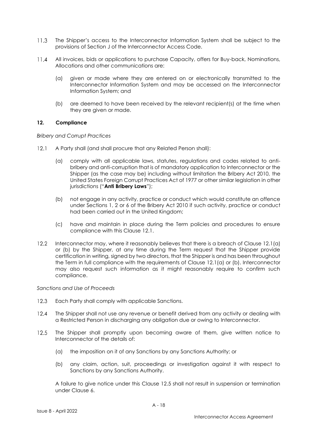- $11.3$ The Shipper's access to the Interconnector Information System shall be subject to the provisions of Section J of the Interconnector Access Code.
- $11.4$ All invoices, bids or applications to purchase Capacity, offers for Buy-back, Nominations, Allocations and other communications are:
	- (a) given or made where they are entered on or electronically transmitted to the Interconnector Information System and may be accessed on the Interconnector Information System; and
	- (b) are deemed to have been received by the relevant recipient(s) at the time when they are given or made.

#### **12. Compliance**

*Bribery and Corrupt Practices*

- $12.1$ A Party shall (and shall procure that any Related Person shall):
	- (a) comply with all applicable laws, statutes, regulations and codes related to antibribery and anti-corruption that is of mandatory application to Interconnector or the Shipper (as the case may be) including without limitation the Bribery Act 2010, the United States Foreign Corrupt Practices Act of 1977 or other similar legislation in other jurisdictions ("**Anti Bribery Laws**");
	- (b) not engage in any activity, practice or conduct which would constitute an offence under Sections 1, 2 or 6 of the Bribery Act 2010 if such activity, practice or conduct had been carried out in the United Kingdom;
	- (c) have and maintain in place during the Term policies and procedures to ensure compliance with this Clause 12.1.
- $12.2$ Interconnector may, where it reasonably believes that there is a breach of Clause 12.1(a) or (b) by the Shipper, at any time during the Term request that the Shipper provide certification in writing, signed by two directors, that the Shipper is and has been throughout the Term in full compliance with the requirements of Clause 12.1(a) or (b). Interconnector may also request such information as it might reasonably require to confirm such compliance.

#### *Sanctions and Use of Proceeds*

- $12.3$ Each Party shall comply with applicable Sanctions.
- $12.4$ The Shipper shall not use any revenue or benefit derived from any activity or dealing with a Restricted Person in discharging any obligation due or owing to Interconnector.
- 12.5 The Shipper shall promptly upon becoming aware of them, give written notice to Interconnector of the details of:
	- (a) the imposition on it of any Sanctions by any Sanctions Authority; or
	- (b) any claim, action, suit, proceedings or investigation against it with respect to Sanctions by any Sanctions Authority.

A failure to give notice under this Clause 12.5 shall not result in suspension or termination under Clause 6.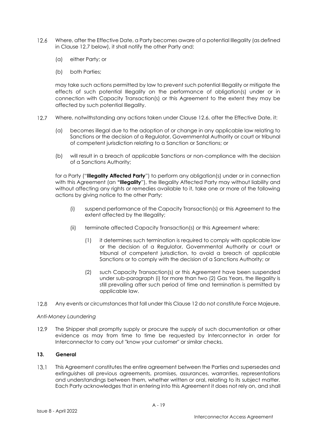- $12.6$ Where, after the Effective Date, a Party becomes aware of a potential Illegality (as defined in Clause 12.7 below), it shall notify the other Party and:
	- (a) either Party; or
	- (b) both Parties;

may take such actions permitted by law to prevent such potential Illegality or mitigate the effects of such potential Illegality on the performance of obligation(s) under or in connection with Capacity Transaction(s) or this Agreement to the extent they may be affected by such potential Illegality.

- $12.7$ Where, notwithstanding any actions taken under Clause 12.6, after the Effective Date, it:
	- (a) becomes illegal due to the adoption of or change in any applicable law relating to Sanctions or the decision of a Regulator, Governmental Authority or court or tribunal of competent jurisdiction relating to a Sanction or Sanctions; or
	- (b) will result in a breach of applicable Sanctions or non-compliance with the decision of a Sanctions Authority;

for a Party ("**Illegality Affected Party**") to perform any obligation(s) under or in connection with this Agreement (an **"Illegality**"), the Illegality Affected Party may without liability and without affecting any rights or remedies available to it, take one or more of the following actions by giving notice to the other Party:

- (i) suspend performance of the Capacity Transaction(s) or this Agreement to the extent affected by the Illegality;
- (ii) terminate affected Capacity Transaction(s) or this Agreement where:
	- (1) it determines such termination is required to comply with applicable law or the decision of a Regulator, Governmental Authority or court or tribunal of competent jurisdiction, to avoid a breach of applicable Sanctions or to comply with the decision of a Sanctions Authority; or
	- (2) such Capacity Transaction(s) or this Agreement have been suspended under sub-paragraph (i) for more than two (2) Gas Years, the Illegality is still prevailing after such period of time and termination is permitted by applicable law.
- $12.8$ Any events or circumstances that fall under this Clause 12 do not constitute Force Majeure.

#### *Anti-Money Laundering*

12.9 The Shipper shall promptly supply or procure the supply of such documentation or other evidence as may from time to time be requested by Interconnector in order for Interconnector to carry out "know your customer" or similar checks.

# **13. General**

 $13.1$ This Agreement constitutes the entire agreement between the Parties and supersedes and extinguishes all previous agreements, promises, assurances, warranties, representations and understandings between them, whether written or oral, relating to its subject matter. Each Party acknowledges that in entering into this Agreement it does not rely on, and shall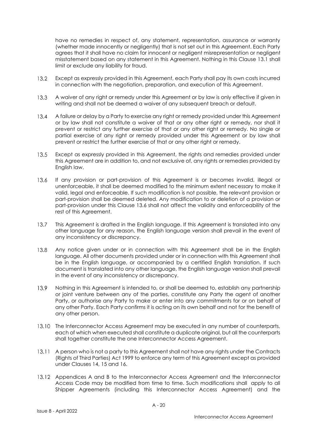have no remedies in respect of, any statement, representation, assurance or warranty (whether made innocently or negligently) that is not set out in this Agreement. Each Party agrees that it shall have no claim for innocent or negligent misrepresentation or negligent misstatement based on any statement in this Agreement. Nothing in this Clause 13.1 shall limit or exclude any liability for fraud.

- $13.2$ Except as expressly provided in this Agreement, each Party shall pay its own costs incurred in connection with the negotiation, preparation, and execution of this Agreement.
- $13.3$ A waiver of any right or remedy under this Agreement or by law is only effective if given in writing and shall not be deemed a waiver of any subsequent breach or default.
- $13.4$ A failure or delay by a Party to exercise any right or remedy provided under this Agreement or by law shall not constitute a waiver of that or any other right or remedy, nor shall it prevent or restrict any further exercise of that or any other right or remedy. No single or partial exercise of any right or remedy provided under this Agreement or by law shall prevent or restrict the further exercise of that or any other right or remedy.
- $13.5$ Except as expressly provided in this Agreement, the rights and remedies provided under this Agreement are in addition to, and not exclusive of, any rights or remedies provided by English law.
- $13.6$ If any provision or part-provision of this Agreement is or becomes invalid, illegal or unenforceable, it shall be deemed modified to the minimum extent necessary to make it valid, legal and enforceable. If such modification is not possible, the relevant provision or part-provision shall be deemed deleted. Any modification to or deletion of a provision or part-provision under this Clause 13.6 shall not affect the validity and enforceability of the rest of this Agreement.
- $13.7$ This Agreement is drafted in the English language. If this Agreement is translated into any other language for any reason, the English language version shall prevail in the event of any inconsistency or discrepancy.
- $13.8$ Any notice given under or in connection with this Agreement shall be in the English language. All other documents provided under or in connection with this Agreement shall be in the English language, or accompanied by a certified English translation. If such document is translated into any other language, the English language version shall prevail in the event of any inconsistency or discrepancy.
- 13.9 Nothing in this Agreement is intended to, or shall be deemed to, establish any partnership or joint venture between any of the parties, constitute any Party the agent of another Party, or authorise any Party to make or enter into any commitments for or on behalf of any other Party. Each Party confirms it is acting on its own behalf and not for the benefit of any other person.
- 13.10 The Interconnector Access Agreement may be executed in any number of counterparts, each of which when executed shall constitute a duplicate original, but all the counterparts shall together constitute the one Interconnector Access Agreement.
- 13.11 A person who is not a party to this Agreement shall not have any rights under the Contracts (Rights of Third Parties) Act 1999 to enforce any term of this Agreement except as provided under Clauses 14, 15 and 16.
- 13.12 Appendices A and B to the Interconnector Access Agreement and the Interconnector Access Code may be modified from time to time. Such modifications shall apply to all Shipper Agreements (including this Interconnector Access Agreement) and the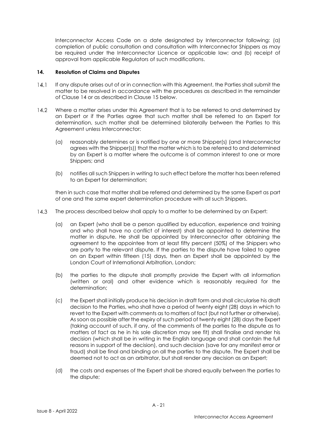Interconnector Access Code on a date designated by Interconnector following: (a) completion of public consultation and consultation with Interconnector Shippers as may be required under the Interconnector Licence or applicable law; and (b) receipt of approval from applicable Regulators of such modifications.

### **14. Resolution of Claims and Disputes**

- $14.1$ If any dispute arises out of or in connection with this Agreement, the Parties shall submit the matter to be resolved in accordance with the procedures as described in the remainder of Clause 14 or as described in Clause 15 below.
- $14.2$ Where a matter arises under this Agreement that is to be referred to and determined by an Expert or if the Parties agree that such matter shall be referred to an Expert for determination, such matter shall be determined bilaterally between the Parties to this Agreement unless Interconnector:
	- (a) reasonably determines or is notified by one or more Shipper(s) (and Interconnector agrees with the Shipper(s)) that the matter which is to be referred to and determined by an Expert is a matter where the outcome is of common interest to one or more Shippers; and
	- (b) notifies all such Shippers in writing to such effect before the matter has been referred to an Expert for determination;

then in such case that matter shall be referred and determined by the same Expert as part of one and the same expert determination procedure with all such Shippers.

- $14.3$ The process described below shall apply to a matter to be determined by an Expert:
	- (a) an Expert (who shall be a person qualified by education, experience and training and who shall have no conflict of interest) shall be appointed to determine the matter in dispute. He shall be appointed by Interconnector after obtaining the agreement to the appointee from at least fifty percent (50%) of the Shippers who are party to the relevant dispute. If the parties to the dispute have failed to agree on an Expert within fifteen (15) days, then an Expert shall be appointed by the London Court of International Arbitration, London;
	- (b) the parties to the dispute shall promptly provide the Expert with all information (written or oral) and other evidence which is reasonably required for the determination;
	- (c) the Expert shall initially produce his decision in draft form and shall circularise his draft decision to the Parties, who shall have a period of twenty eight (28) days in which to revert to the Expert with comments as to matters of fact (but not further or otherwise). As soon as possible after the expiry of such period of twenty eight (28) days the Expert (taking account of such, if any, of the comments of the parties to the dispute as to matters of fact as he in his sole discretion may see fit) shall finalise and render his decision (which shall be in writing in the English language and shall contain the full reasons in support of the decision), and such decision (save for any manifest error or fraud) shall be final and binding on all the parties to the dispute. The Expert shall be deemed not to act as an arbitrator, but shall render any decision as an Expert;
	- (d) the costs and expenses of the Expert shall be shared equally between the parties to the dispute;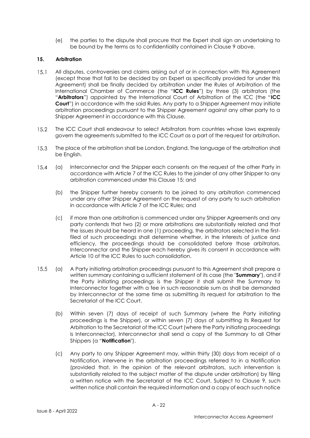(e) the parties to the dispute shall procure that the Expert shall sign an undertaking to be bound by the terms as to confidentiality contained in Clause 9 above.

### **15. Arbitration**

- $15.1$ All disputes, controversies and claims arising out of or in connection with this Agreement (except those that fall to be decided by an Expert as specifically provided for under this Agreement) shall be finally decided by arbitration under the Rules of Arbitration of the International Chamber of Commerce (the "**ICC Rules**") by three (3) arbitrators (the "**Arbitrators**") appointed by the International Court of Arbitration of the ICC (the "**ICC Court**") in accordance with the said Rules. Any party to a Shipper Agreement may initiate arbitration proceedings pursuant to the Shipper Agreement against any other party to a Shipper Agreement in accordance with this Clause.
- $15.2$ The ICC Court shall endeavour to select Arbitrators from countries whose laws expressly govern the agreements submitted to the ICC Court as a part of the request for arbitration.
- 15.3 The place of the arbitration shall be London, England. The language of the arbitration shall be English.
- $15.4$ (a) Interconnector and the Shipper each consents on the request of the other Party in accordance with Article 7 of the ICC Rules to the joinder of any other Shipper to any arbitration commenced under this Clause 15; and
	- (b) the Shipper further hereby consents to be joined to any arbitration commenced under any other Shipper Agreement on the request of any party to such arbitration in accordance with Article 7 of the ICC Rules; and
	- (c) if more than one arbitration is commenced under any Shipper Agreements and any party contends that two (2) or more arbitrations are substantially related and that the issues should be heard in one (1) proceeding, the arbitrators selected in the firstfiled of such proceedings shall determine whether, in the interests of justice and efficiency, the proceedings should be consolidated before those arbitrators. Interconnector and the Shipper each hereby gives its consent in accordance with Article 10 of the ICC Rules to such consolidation.
- $15.5$ (a) A Party initiating arbitration proceedings pursuant to this Agreement shall prepare a written summary containing a sufficient statement of its case (the "**Summary**"), and if the Party initiating proceedings is the Shipper it shall submit the Summary to Interconnector together with a fee in such reasonable sum as shall be demanded by Interconnector at the same time as submitting its request for arbitration to the Secretariat of the ICC Court.
	- (b) Within seven (7) days of receipt of such Summary (where the Party initiating proceedings is the Shipper), or within seven (7) days of submitting its Request for Arbitration to the Secretariat of the ICC Court (where the Party initiating proceedings is Interconnector), Interconnector shall send a copy of the Summary to all Other Shippers (a "**Notification**").
	- (c) Any party to any Shipper Agreement may, within thirty (30) days from receipt of a Notification, intervene in the arbitration proceedings referred to in a Notification (provided that, in the opinion of the relevant arbitrators, such intervention is substantially related to the subject matter of the dispute under arbitration) by filing a written notice with the Secretariat of the ICC Court. Subject to Clause 9, such written notice shall contain the required information and a copy of each such notice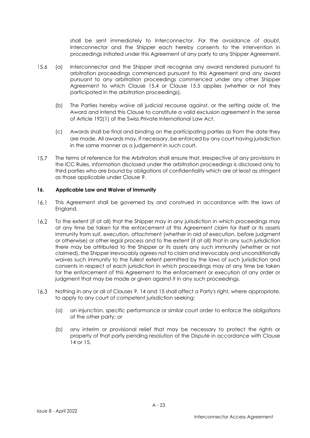shall be sent immediately to Interconnector. For the avoidance of doubt, Interconnector and the Shipper each hereby consents to the intervention in proceedings initiated under this Agreement of any party to any Shipper Agreement.

- $15.6$ (a) Interconnector and the Shipper shall recognise any award rendered pursuant to arbitration proceedings commenced pursuant to this Agreement and any award pursuant to any arbitration proceedings commenced under any other Shipper Agreement to which Clause 15.4 or Clause 15.5 applies (whether or not they participated in the arbitration proceedings).
	- (b) The Parties hereby waive all judicial recourse against, or the setting aside of, the Award and intend this Clause to constitute a valid exclusion agreement in the sense of Article 192(1) of the Swiss Private International Law Act.
	- (c) Awards shall be final and binding on the participating parties as from the date they are made. All awards may, if necessary, be enforced by any court having jurisdiction in the same manner as a judgement in such court.
- $15.7$ The terms of reference for the Arbitrators shall ensure that, irrespective of any provisions in the ICC Rules, information disclosed under the arbitration proceedings is disclosed only to third parties who are bound by obligations of confidentiality which are at least as stringent as those applicable under Clause 9.

### **16. Applicable Law and Waiver of Immunity**

- $16.1$ This Agreement shall be governed by and construed in accordance with the laws of England.
- $16.2$ To the extent (if at all) that the Shipper may in any jurisdiction in which proceedings may at any time be taken for the enforcement of this Agreement claim for itself or its assets immunity from suit, execution, attachment (whether in aid of execution, before judgment or otherwise) or other legal process and to the extent (if at all) that in any such jurisdiction there may be attributed to the Shipper or its assets any such immunity (whether or not claimed), the Shipper irrevocably agrees not to claim and irrevocably and unconditionally waives such immunity to the fullest extent permitted by the laws of such jurisdiction and consents in respect of each jurisdiction in which proceedings may at any time be taken for the enforcement of this Agreement to the enforcement or execution of any order or judgment that may be made or given against it in any such proceedings.
- Nothing in any or all of Clauses 9, 14 and 15 shall affect a Party's right, where appropriate,  $16.3$ to apply to any court of competent jurisdiction seeking:
	- (a) an injunction, specific performance or similar court order to enforce the obligations of the other party; or
	- (b) any interim or provisional relief that may be necessary to protect the rights or property of that party pending resolution of the Dispute in accordance with Clause 14 or 15.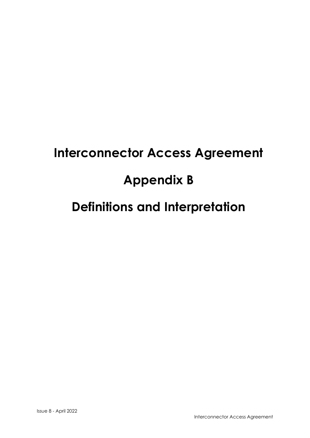# **Interconnector Access Agreement**

# **Appendix B**

# **Definitions and Interpretation**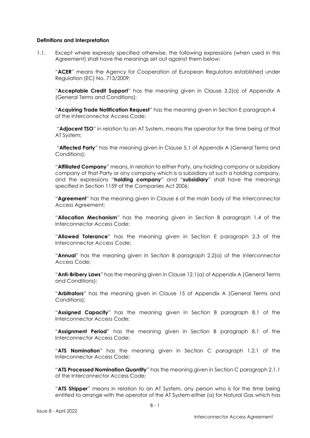#### **Definitions and Interpretation**

1.1. Except where expressly specified otherwise, the following expressions (when used in this Agreement) shall have the meanings set out against them below:

"**ACER**" means the Agency for Cooperation of European Regulators established under Regulation (EC) No. 713/2009;

"**Acceptable Credit Support**" has the meaning given in Clause 3.2(a) of Appendix A (General Terms and Conditions);

"**Acquiring Trade Notification Request**" has the meaning given in Section E paragraph 4 of the Interconnector Access Code;

"**Adjacent TSO**" in relation to an AT System, means the operator for the time being of that AT System;

"**Affected Party**" has the meaning given in Clause 5.1 of Appendix A (General Terms and Conditions);

"**Affiliated Company**" means, in relation to either Party, any holding company or subsidiary company of that Party or any company which is a subsidiary of such a holding company, and the expressions "**holding company**" and "**subsidiary**" shall have the meanings specified in Section 1159 of the Companies Act 2006;

"**Agreement**" has the meaning given in Clause 6 of the main body of the Interconnector Access Agreement;

"**Allocation Mechanism**" has the meaning given in Section B paragraph 1.4 of the Interconnector Access Code;

"**Allowed Tolerance**" has the meaning given in Section E paragraph 2.3 of the Interconnector Access Code;

"**Annual**" has the meaning given in Section B paragraph 2.2(a) of the Interconnector Access Code;

"**Anti-Bribery Laws**" has the meaning given in Clause 12.1(a) of Appendix A (General Terms and Conditions);

"**Arbitrators**" has the meaning given in Clause 15 of Appendix A (General Terms and Conditions);

"**Assigned Capacity**" has the meaning given in Section B paragraph 8.1 of the Interconnector Access Code;

"**Assignment Period**" has the meaning given in Section B paragraph 8.1 of the Interconnector Access Code;

"**ATS Nomination**" has the meaning given in Section C paragraph 1.2.1 of the Interconnector Access Code;

"**ATS Processed Nomination Quantity**" has the meaning given in Section C paragraph 2.1.1 of the Interconnector Access Code;

"**ATS Shipper**" means in relation to an AT System, any person who is for the time being entitled to arrange with the operator of the AT System either (a) for Natural Gas which has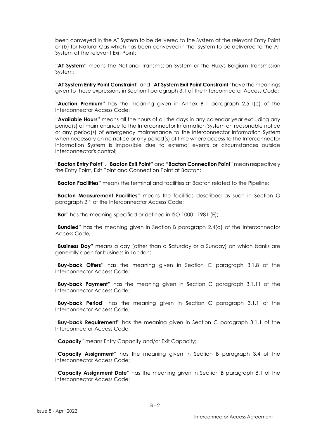been conveyed in the AT System to be delivered to the System at the relevant Entry Point or (b) for Natural Gas which has been conveyed in the System to be delivered to the AT System at the relevant Exit Point;

"**AT System**" means the National Transmission System or the Fluxys Belgium Transmission System;

"**AT System Entry Point Constraint**" and "**AT System Exit Point Constraint**" have the meanings given to those expressions in Section I paragraph 3.1 of the Interconnector Access Code;

"**Auction Premium**" has the meaning given in Annex B-1 paragraph 2.5.1(c) of the Interconnector Access Code;

"**Available Hours**" means all the hours of all the days in any calendar year excluding any period(s) of maintenance to the Interconnector Information System on reasonable notice or any period(s) of emergency maintenance to the Interconnector Information System when necessary on no notice or any period(s) of time where access to the Interconnector Information System is impossible due to external events or circumstances outside Interconnector's control;

**"Bacton Entry Point**", "**Bacton Exit Point**" and "**Bacton Connection Point**" mean respectively the Entry Point, Exit Point and Connection Point at Bacton;

"**Bacton Facilities**" means the terminal and facilities at Bacton related to the Pipeline;

"**Bacton Measurement Facilities**" means the facilities described as such in Section G paragraph 2.1 of the Interconnector Access Code;

"**Bar**" has the meaning specified or defined in ISO 1000 : 1981 (E);

"**Bundled**" has the meaning given in Section B paragraph 2.4(a) of the Interconnector Access Code;

"**Business Day**" means a day (other than a Saturday or a Sunday) on which banks are generally open for business in London;

"**Buy-back Offers**" has the meaning given in Section C paragraph 3.1.8 of the Interconnector Access Code;

"**Buy-back Payment**" has the meaning given in Section C paragraph 3.1.11 of the Interconnector Access Code;

"**Buy-back Period**" has the meaning given in Section C paragraph 3.1.1 of the Interconnector Access Code;

"**Buy-back Requirement**" has the meaning given in Section C paragraph 3.1.1 of the Interconnector Access Code;

"**Capacity**" means Entry Capacity and/or Exit Capacity;

"**Capacity Assignment**" has the meaning given in Section B paragraph 3.4 of the Interconnector Access Code;

"**Capacity Assignment Date**" has the meaning given in Section B paragraph 8.1 of the Interconnector Access Code;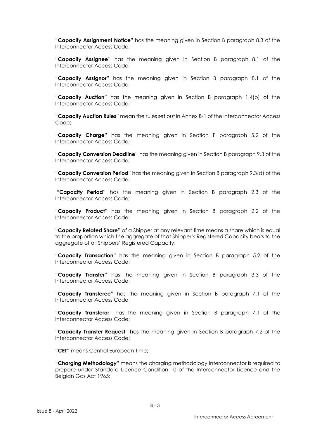"**Capacity Assignment Notice**" has the meaning given in Section B paragraph 8.3 of the Interconnector Access Code;

"**Capacity Assignee**" has the meaning given in Section B paragraph 8.1 of the Interconnector Access Code;

"**Capacity Assignor**" has the meaning given in Section B paragraph 8.1 of the Interconnector Access Code;

"**Capacity Auction**" has the meaning given in Section B paragraph 1.4(b) of the Interconnector Access Code;

"**Capacity Auction Rules**" mean the rules set out in Annex B-1 of the Interconnector Access Code;

"**Capacity Charge**" has the meaning given in Section F paragraph 5.2 of the Interconnector Access Code;

"**Capacity Conversion Deadline**" has the meaning given in Section B paragraph 9.3 of the Interconnector Access Code;

"**Capacity Conversion Period**" has the meaning given in Section B paragraph 9.3(d) of the Interconnector Access Code;

"**Capacity Period**" has the meaning given in Section B paragraph 2.3 of the Interconnector Access Code;

"**Capacity Product**" has the meaning given in Section B paragraph 2.2 of the Interconnector Access Code;

"**Capacity Related Share**" of a Shipper at any relevant time means a share which is equal to the proportion which the aggregate of that Shipper's Registered Capacity bears to the aggregate of all Shippers' Registered Capacity;

"**Capacity Transaction**" has the meaning given in Section B paragraph 5.2 of the Interconnector Access Code;

"**Capacity Transfer**" has the meaning given in Section B paragraph 3.3 of the Interconnector Access Code;

"**Capacity Transferee**" has the meaning given in Section B paragraph 7.1 of the Interconnector Access Code;

"**Capacity Transferor**" has the meaning given in Section B paragraph 7.1 of the Interconnector Access Code;

"**Capacity Transfer Request**" has the meaning given in Section B paragraph 7.2 of the Interconnector Access Code;

"**CET**" means Central European Time;

"**Charging Methodology**" means the charging methodology Interconnector is required to prepare under Standard Licence Condition 10 of the Interconnector Licence and the Belgian Gas Act 1965;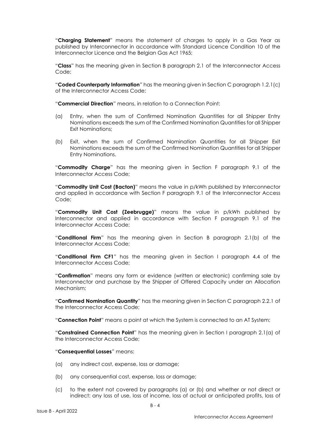"**Charging Statement**" means the statement of charges to apply in a Gas Year as published by Interconnector in accordance with Standard Licence Condition 10 of the Interconnector Licence and the Belgian Gas Act 1965;

"**Class**" has the meaning given in Section B paragraph 2.1 of the Interconnector Access Code;

"**Coded Counterparty Information**" has the meaning given in Section C paragraph 1.2.1(c) of the Interconnector Access Code;

"**Commercial Direction**" means, in relation to a Connection Point:

- (a) Entry, when the sum of Confirmed Nomination Quantities for all Shipper Entry Nominations exceeds the sum of the Confirmed Nomination Quantities for all Shipper Exit Nominations;
- (b) Exit, when the sum of Confirmed Nomination Quantities for all Shipper Exit Nominations exceeds the sum of the Confirmed Nomination Quantities for all Shipper Entry Nominations.

"**Commodity Charge**" has the meaning given in Section F paragraph 9.1 of the Interconnector Access Code;

"**Commodity Unit Cost (Bacton)**" means the value in p/kWh published by Interconnector and applied in accordance with Section F paragraph 9.1 of the Interconnector Access Code;

"**Commodity Unit Cost (Zeebrugge)**" means the value in p/kWh published by Interconnector and applied in accordance with Section F paragraph 9.1 of the Interconnector Access Code;

"**Conditional Firm**" has the meaning given in Section B paragraph 2.1(b) of the Interconnector Access Code;

"**Conditional Firm CF1**" has the meaning given in Section I paragraph 4.4 of the Interconnector Access Code;

"**Confirmation**" means any form or evidence (written or electronic) confirming sale by Interconnector and purchase by the Shipper of Offered Capacity under an Allocation Mechanism;

"**Confirmed Nomination Quantity**" has the meaning given in Section C paragraph 2.2.1 of the Interconnector Access Code;

"**Connection Point**" means a point at which the System is connected to an AT System;

"**Constrained Connection Point**" has the meaning given in Section I paragraph 2.1(a) of the Interconnector Access Code;

"**Consequential Losses**" means:

- (a) any indirect cost, expense, loss or damage;
- (b) any consequential cost, expense, loss or damage;
- (c) to the extent not covered by paragraphs (a) or (b) and whether or not direct or indirect: any loss of use, loss of income, loss of actual or anticipated profits, loss of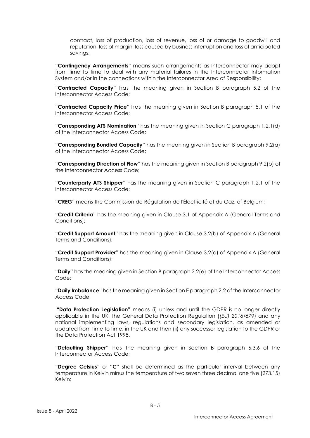contract, loss of production, loss of revenue, loss of or damage to goodwill and reputation, loss of margin, loss caused by business interruption and loss of anticipated savings;

"**Contingency Arrangements**" means such arrangements as Interconnector may adopt from time to time to deal with any material failures in the Interconnector Information System and/or in the connections within the Interconnector Area of Responsibility;

"**Contracted Capacity**" has the meaning given in Section B paragraph 5.2 of the Interconnector Access Code;

"**Contracted Capacity Price**" has the meaning given in Section B paragraph 5.1 of the Interconnector Access Code;

"**Corresponding ATS Nomination**" has the meaning given in Section C paragraph 1.2.1(d) of the Interconnector Access Code;

"**Corresponding Bundled Capacity**" has the meaning given in Section B paragraph 9.2(a) of the Interconnector Access Code;

"**Corresponding Direction of Flow**" has the meaning given in Section B paragraph 9.2(b) of the Interconnector Access Code;

"**Counterparty ATS Shipper**" has the meaning given in Section C paragraph 1.2.1 of the Interconnector Access Code;

"**CREG**" means the Commission de Régulation de l'Électricité et du Gaz, of Belgium;

"**Credit Criteria**" has the meaning given in Clause 3.1 of Appendix A (General Terms and Conditions);

"**Credit Support Amount**" has the meaning given in Clause 3.2(b) of Appendix A (General Terms and Conditions);

"**Credit Support Provider**" has the meaning given in Clause 3.2(d) of Appendix A (General Terms and Conditions);

"**Daily**" has the meaning given in Section B paragraph 2.2(e) of the Interconnector Access Code;

"**Daily Imbalance**" has the meaning given in Section E paragraph 2.2 of the Interconnector Access Code;

**"Data Protection Legislation"** means (i) unless and until the GDPR is no longer directly applicable in the UK, the General Data Protection Regulation (*(EU) 2016/679*) and any national implementing laws, regulations and secondary legislation, as amended or updated from time to time, in the UK and then (ii) any successor legislation to the GDPR or the Data Protection Act 1998.

"**Defaulting Shipper**" has the meaning given in Section B paragraph 6.3.6 of the Interconnector Access Code;

"**Degree Celsius**" or "**C**" shall be determined as the particular interval between any temperature in Kelvin minus the temperature of two seven three decimal one five (273.15) Kelvin;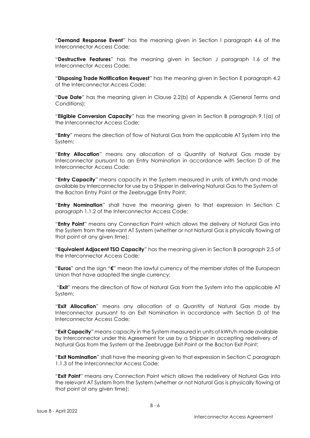"**Demand Response Event**" has the meaning given in Section I paragraph 4.6 of the Interconnector Access Code;

"**Destructive Features**" has the meaning given in Section J paragraph 1.6 of the Interconnector Access Code;

"**Disposing Trade Notification Request**" has the meaning given in Section E paragraph 4.2 of the Interconnector Access Code;

"**Due Date**" has the meaning given in Clause 2.2(b) of Appendix A (General Terms and Conditions);

"**Eligible Conversion Capacity**" has the meaning given in Section B paragraph 9.1(a) of the Interconnector Access Code;

"**Entry**" means the direction of flow of Natural Gas from the applicable AT System into the System;

"**Entry Allocation**" means any allocation of a Quantity of Natural Gas made by Interconnector pursuant to an Entry Nomination in accordance with Section D of the Interconnector Access Code;

"**Entry Capacity**" means capacity in the System measured in units of kWh/h and made available by Interconnector for use by a Shipper in delivering Natural Gas to the System at the Bacton Entry Point or the Zeebrugge Entry Point;

"**Entry Nomination**" shall have the meaning given to that expression in Section C paragraph 1.1.2 of the Interconnector Access Code;

"**Entry Point**" means any Connection Point which allows the delivery of Natural Gas into the System from the relevant AT System (whether or not Natural Gas is physically flowing at that point at any given time);

"**Equivalent Adjacent TSO Capacity**" has the meaning given in Section B paragraph 2.5 of the Interconnector Access Code;

"**Euros**" and the sign "**€**" mean the lawful currency of the member states of the European Union that have adopted the single currency;

"**Exit**" means the direction of flow of Natural Gas from the System into the applicable AT System;

"**Exit Allocation**" means any allocation of a Quantity of Natural Gas made by Interconnector pursuant to an Exit Nomination in accordance with Section D of the Interconnector Access Code;

"**Exit Capacity**" means capacity in the System measured in units of kWh/h made available by Interconnector under this Agreement for use by a Shipper in accepting redelivery of Natural Gas from the System at the Zeebrugge Exit Point or the Bacton Exit Point;

"**Exit Nomination**" shall have the meaning given to that expression in Section C paragraph 1.1.3 of the Interconnector Access Code;

"**Exit Point**" means any Connection Point which allows the redelivery of Natural Gas into the relevant AT System from the System (whether or not Natural Gas is physically flowing at that point at any given time);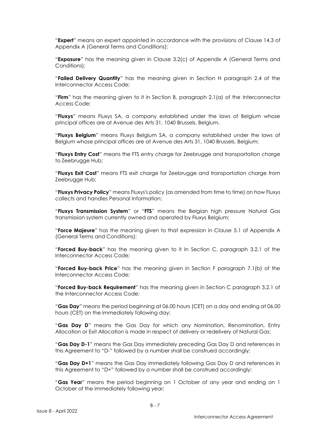"**Expert**" means an expert appointed in accordance with the provisions of Clause 14.3 of Appendix A (General Terms and Conditions);

"**Exposure**" has the meaning given in Clause 3.2(c) of Appendix A (General Terms and Conditions);

"**Failed Delivery Quantity**" has the meaning given in Section H paragraph 2.4 of the Interconnector Access Code;

"**Firm**" has the meaning given to it in Section B, paragraph 2.1(a) of the Interconnector Access Code;

"**Fluxys**" means Fluxys SA, a company established under the laws of Belgium whose principal offices are at Avenue des Arts 31, 1040 Brussels, Belgium.

"**Fluxys Belgium**" means Fluxys Belgium SA, a company established under the laws of Belgium whose principal offices are at Avenue des Arts 31, 1040 Brussels, Belgium;

"**Fluxys Entry Cost**" means the FTS entry charge for Zeebrugge and transportation charge to Zeebrugge Hub;

"**Fluxys Exit Cost**" means FTS exit charge for Zeebrugge and transportation charge from Zeebrugge Hub;

"**Fluxys Privacy Policy**" means Fluxys's policy (as amended from time to time) on how Fluxys collects and handles Personal Information;

"**Fluxys Transmission System**" or "**FTS**" means the Belgian high pressure Natural Gas transmission system currently owned and operated by Fluxys Belgium;

"**Force Majeure**" has the meaning given to that expression in Clause 5.1 of Appendix A (General Terms and Conditions);

"**Forced Buy-back**" has the meaning given to it In Section C, paragraph 3.2.1 of the Interconnector Access Code;

"**Forced Buy-back Price**" has the meaning given in Section F paragraph 7.1(b) of the Interconnector Access Code;

"**Forced Buy-back Requirement**" has the meaning given in Section C paragraph 3.2.1 of the Interconnector Access Code;

"**Gas Day**" means the period beginning at 06.00 hours (CET) on a day and ending at 06.00 hours (CET) on the immediately following day;

"**Gas Day D**" means the Gas Day for which any Nomination, Renomination, Entry Allocation or Exit Allocation is made in respect of delivery or redelivery of Natural Gas;

"**Gas Day D-1**" means the Gas Day immediately preceding Gas Day D and references in this Agreement to "D-" followed by a number shall be construed accordingly;

"**Gas Day D+1**" means the Gas Day immediately following Gas Day D and references in this Agreement to "D+" followed by a number shall be construed accordingly;

"**Gas Year**" means the period beginning on 1 October of any year and ending on 1 October of the immediately following year;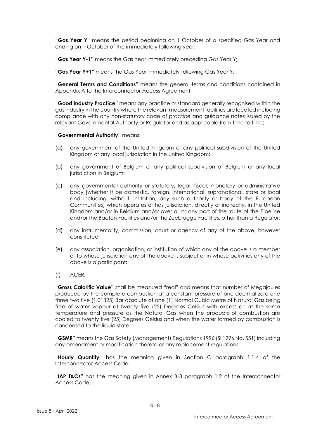"**Gas Year Y**" means the period beginning on 1 October of a specified Gas Year and ending on 1 October of the immediately following year;

"**Gas Year Y-1**" means the Gas Year immediately preceding Gas Year Y**;**

**"Gas Year Y+1"** means the Gas Year immediately following Gas Year Y;

"**General Terms and Conditions**" means the general terms and conditions contained in Appendix A to the Interconnector Access Agreement;

"**Good Industry Practice**" means any practice or standard generally recognised within the gas industry in the country where the relevant measurement facilities are located including compliance with any non-statutory code of practice and guidance notes issued by the relevant Governmental Authority or Regulator and as applicable from time to time;

### "**Governmental Authority**" means:

- (a) any government of the United Kingdom or any political subdivision of the United Kingdom or any local jurisdiction in the United Kingdom;
- (b) any government of Belgium or any political subdivision of Belgium or any local jurisdiction in Belgium;
- (c) any governmental authority or statutory, legal, fiscal, monetary or administrative body (whether it be domestic, foreign, international, supranational, state or local and including, without limitation, any such authority or body of the European Communities) which operates or has jurisdiction, directly or indirectly, in the United Kingdom and/or in Belgium and/or over all or any part of the route of the Pipeline and/or the Bacton Facilities and/or the Zeebrugge Facilities, other than a Regulator;
- (d) any instrumentality, commission, court or agency of any of the above, however constituted;
- (e) any association, organisation, or institution of which any of the above is a member or to whose jurisdiction any of the above is subject or in whose activities any of the above is a participant;
- (f) ACER;

"**Gross Calorific Value**" shall be measured "real" and means that number of Megajoules produced by the complete combustion at a constant pressure of one decimal zero one three two five (1.01325) Bar absolute of one (1) Normal Cubic Metre of Natural Gas being free of water vapour at twenty five (25) Degrees Celsius with excess air at the same temperature and pressure as the Natural Gas when the products of combustion are cooled to twenty five (25) Degrees Celsius and when the water formed by combustion is condensed to the liquid state;

"**GSMR**" means the Gas Safety (Management) Regulations 1996 (SI 1996 No. 551) including any amendment or modification thereto or any replacement regulations;

"**Hourly Quantity**" has the meaning given in Section C paragraph 1.1.4 of the Interconnector Access Code;

"**IAP T&Cs**" has the meaning given in Annex B-3 paragraph 1.2 of the Interconnector Access Code;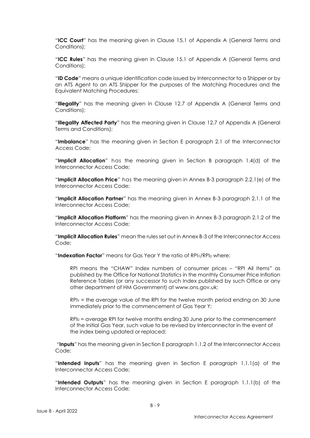"**ICC Court**" has the meaning given in Clause 15.1 of Appendix A (General Terms and Conditions);

"**ICC Rules**" has the meaning given in Clause 15.1 of Appendix A (General Terms and Conditions);

"**ID Code**" means a unique identification code issued by Interconnector to a Shipper or by an ATS Agent to an ATS Shipper for the purposes of the Matching Procedures and the Equivalent Matching Procedures;

"**Illegality**" has the meaning given in Clause 12.7 of Appendix A (General Terms and Conditions);

"**Illegality Affected Party**" has the meaning given in Clause 12.7 of Appendix A (General Terms and Conditions);

"**Imbalance**" has the meaning given in Section E paragraph 2.1 of the Interconnector Access Code;

"**Implicit Allocation**" has the meaning given in Section B paragraph 1.4(d) of the Interconnector Access Code;

"**Implicit Allocation Price**" has the meaning given in Annex B-3 paragraph 2.2.1(e) of the Interconnector Access Code;

"**Implicit Allocation Partner**" has the meaning given in Annex B-3 paragraph 2.1.1 of the Interconnector Access Code;

"**Implicit Allocation Platform**" has the meaning given in Annex B-3 paragraph 2.1.2 of the Interconnector Access Code;

"**Implicit Allocation Rules**" mean the rules set out in Annex B-3 of the Interconnector Access Code:

"**Indexation Factor**" means for Gas Year Y the ratio of RPI<sub>Y</sub>/RPI<sub>0</sub> where:

RPI means the "CHAW" Index numbers of consumer prices – "RPI All Items" as published by the Office for National Statistics in the monthly Consumer Price Inflation Reference Tables (or any successor to such Index published by such Office or any other department of HM Government) at www.ons.gov.uk;

 $RP<sub>Y</sub>$  = the average value of the RPI for the twelve month period ending on 30 June immediately prior to the commencement of Gas Year Y;

RPI<sup>0</sup> = average RPI for twelve months ending 30 June prior to the commencement of the Initial Gas Year, such value to be revised by Interconnector in the event of the index being updated or replaced;

"**Inputs**" has the meaning given in Section E paragraph 1.1.2 of the Interconnector Access Code;

"**Intended Inputs**" has the meaning given in Section E paragraph 1.1.1(a) of the Interconnector Access Code;

"**Intended Outputs**" has the meaning given in Section E paragraph 1.1.1(b) of the Interconnector Access Code;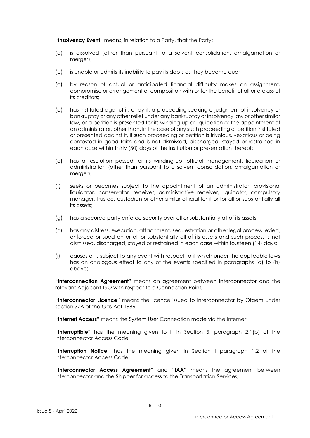"**Insolvency Event**" means, in relation to a Party, that the Party:

- (a) is dissolved (other than pursuant to a solvent consolidation, amalgamation or merger);
- (b) is unable or admits its inability to pay its debts as they become due;
- (c) by reason of actual or anticipated financial difficulty makes an assignment, compromise or arrangement or composition with or for the benefit of all or a class of its creditors;
- (d) has instituted against it, or by it, a proceeding seeking a judgment of insolvency or bankruptcy or any other relief under any bankruptcy or insolvency law or other similar law, or a petition is presented for its winding-up or liquidation or the appointment of an administrator, other than, in the case of any such proceeding or petition instituted or presented against it, if such proceeding or petition is frivolous, vexatious or being contested in good faith and is not dismissed, discharged, stayed or restrained in each case within thirty (30) days of the institution or presentation thereof;
- (e) has a resolution passed for its winding-up, official management, liquidation or administration (other than pursuant to a solvent consolidation, amalgamation or merger);
- (f) seeks or becomes subject to the appointment of an administrator, provisional liquidator, conservator, receiver, administrative receiver, liquidator, compulsory manager, trustee, custodian or other similar official for it or for all or substantially all its assets;
- (g) has a secured party enforce security over all or substantially all of its assets;
- (h) has any distress, execution, attachment, sequestration or other legal process levied, enforced or sued on or all or substantially all of its assets and such process is not dismissed, discharged, stayed or restrained in each case within fourteen (14) days;
- (i) causes or is subject to any event with respect to it which under the applicable laws has an analogous effect to any of the events specified in paragraphs (a) to (h) above;

**"Interconnection Agreement**" means an agreement between Interconnector and the relevant Adjacent TSO with respect to a Connection Point;

"**Interconnector Licence**" means the licence issued to Interconnector by Ofgem under section 7ZA of the Gas Act 1986;

"**Internet Access**" means the System User Connection made via the Internet;

"**Interruptible**" has the meaning given to it in Section B, paragraph 2.1(b) of the Interconnector Access Code;

"**Interruption Notice**" has the meaning given in Section I paragraph 1.2 of the Interconnector Access Code;

"**Interconnector Access Agreement**" and "**IAA**" means the agreement between Interconnector and the Shipper for access to the Transportation Services;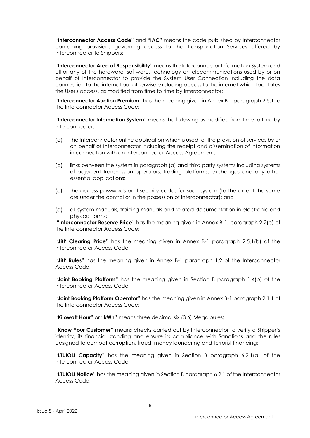"**Interconnector Access Code**" and "**IAC**" means the code published by Interconnector containing provisions governing access to the Transportation Services offered by Interconnector to Shippers;

"**Interconnector Area of Responsibility**" means the Interconnector Information System and all or any of the hardware, software, technology or telecommunications used by or on behalf of Interconnector to provide the System User Connection including the data connection to the internet but otherwise excluding access to the internet which facilitates the User's access, as modified from time to time by Interconnector;

"**Interconnector Auction Premium**" has the meaning given in Annex B-1 paragraph 2.5.1 to the Interconnector Access Code;

"**Interconnector Information System**" means the following as modified from time to time by Interconnector:

- (a) the Interconnector online application which is used for the provision of services by or on behalf of Interconnector including the receipt and dissemination of information in connection with an Interconnector Access Agreement;
- (b) links between the system in paragraph (a) and third party systems including systems of adjacent transmission operators, trading platforms, exchanges and any other essential applications;
- (c) the access passwords and security codes for such system (to the extent the same are under the control or in the possession of Interconnector); and
- (d) all system manuals, training manuals and related documentation in electronic and physical forms;

"**Interconnector Reserve Price**" has the meaning given in Annex B-1, paragraph 2.2(e) of the Interconnector Access Code;

"**JBP Clearing Price**" has the meaning given in Annex B-1 paragraph 2.5.1(b) of the Interconnector Access Code;

"**JBP Rules**" has the meaning given in Annex B-1 paragraph 1.2 of the Interconnector Access Code;

"**Joint Booking Platform**" has the meaning given in Section B paragraph 1.4(b) of the Interconnector Access Code;

"**Joint Booking Platform Operator**" has the meaning given in Annex B-1 paragraph 2.1.1 of the Interconnector Access Code;

"**Kilowatt Hour**" or "**kWh**" means three decimal six (3.6) Megajoules;

"**Know Your Customer"** means checks carried out by Interconnector to verify a Shipper's identity, its financial standing and ensure its compliance with Sanctions and the rules designed to combat corruption, fraud, money laundering and terrorist financing;

"**LTUIOLI Capacity**" has the meaning given in Section B paragraph 6.2.1(a) of the Interconnector Access Code;

"**LTUIOLI Notice**" has the meaning given in Section B paragraph 6.2.1 of the Interconnector Access Code;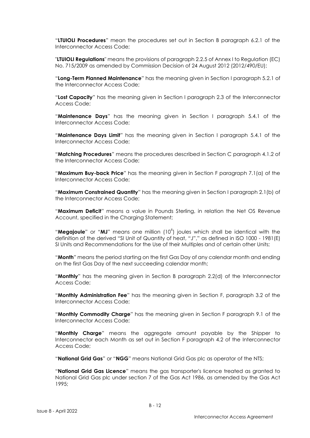"**LTUIOLI Procedures**" mean the procedures set out in Section B paragraph 6.2.1 of the Interconnector Access Code;

"**LTUIOLI Regulations**" means the provisions of paragraph 2.2.5 of Annex I to Regulation (EC) No. 715/2009 as amended by Commission Decision of 24 August 2012 (2012/490/EU);

"**Long-Term Planned Maintenance**" has the meaning given in Section I paragraph 5.2.1 of the Interconnector Access Code;

"**Lost Capacity**" has the meaning given in Section I paragraph 2.3 of the Interconnector Access Code;

"**Maintenance Days**" has the meaning given in Section I paragraph 5.4.1 of the Interconnector Access Code;

"**Maintenance Days Limit**" has the meaning given in Section I paragraph 5.4.1 of the Interconnector Access Code;

"**Matching Procedures**" means the procedures described in Section C paragraph 4.1.2 of the Interconnector Access Code;

"**Maximum Buy-back Price**" has the meaning given in Section F paragraph 7.1(a) of the Interconnector Access Code;

"**Maximum Constrained Quantity**" has the meaning given in Section I paragraph 2.1(b) of the Interconnector Access Code;

"**Maximum Deficit**" means a value in Pounds Sterling, in relation the Net OS Revenue Account, specified in the Charging Statement;

"Megajoule" or "MJ" means one million (10<sup>6</sup>) joules which shall be identical with the definition of the derived "SI Unit of Quantity of heat, "J"," as defined in ISO 1000 - 1981(E) SI Units and Recommendations for the Use of their Multiples and of certain other Units;

"**Month**" means the period starting on the first Gas Day of any calendar month and ending on the first Gas Day of the next succeeding calendar month;

"**Monthly**" has the meaning given in Section B paragraph 2.2(d) of the Interconnector Access Code;

"**Monthly Administration Fee**" has the meaning given in Section F, paragraph 3.2 of the Interconnector Access Code;

"**Monthly Commodity Charge**" has the meaning given in Section F paragraph 9.1 of the Interconnector Access Code;

"**Monthly Charge**" means the aggregate amount payable by the Shipper to Interconnector each Month as set out in Section F paragraph 4.2 of the Interconnector Access Code;

"**National Grid Gas**" or "**NGG**" means National Grid Gas plc as operator of the NTS;

"**National Grid Gas Licence**" means the gas transporter's licence treated as granted to National Grid Gas plc under section 7 of the Gas Act 1986, as amended by the Gas Act 1995;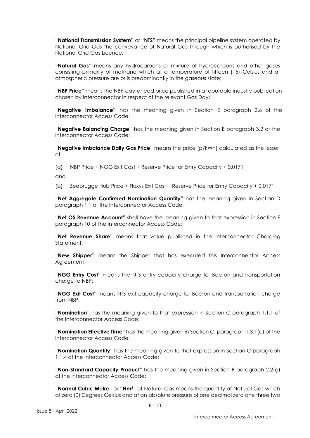"**National Transmission System**" or "**NTS**" means the principal pipeline system operated by National Grid Gas the conveyance of Natural Gas through which is authorised by the National Grid Gas Licence;

"**Natural Gas**" means any hydrocarbons or mixture of hydrocarbons and other gases consisting primarily of methane which at a temperature of fifteen (15) Celsius and at atmospheric pressure are or is predominantly in the gaseous state;

"**NBP Price**" means the NBP day-ahead price published in a reputable industry publication chosen by Interconnector in respect of the relevant Gas Day;

"**Negative Imbalance**" has the meaning given in Section E paragraph 2.6 of the Interconnector Access Code;

"**Negative Balancing Charge**" has the meaning given in Section E paragraph 3.2 of the Interconnector Access Code;

"**Negative Imbalance Daily Gas Price**" means the price (p/kWh) calculated as the lesser of:

(a) NBP Price + NGG Exit Cost + Reserve Price for Entry Capacity + 0.0171

and

(b) Zeebrugge Hub Price + Fluxys Exit Cost + Reserve Price for Entry Capacity + 0.0171

"**Net Aggregate Confirmed Nomination Quantity**" has the meaning given in Section D paragraph 1.1 of the Interconnector Access Code;

"**Net OS Revenue Account**" shall have the meaning given to that expression in Section F paragraph 10 of the Interconnector Access Code;

"**Net Revenue Share**" means that value published in the Interconnector Charging Statement;

"**New Shipper**" means the Shipper that has executed this Interconnector Access Agreement;

"**NGG Entry Cost**" means the NTS entry capacity charge for Bacton and transportation charge to NBP;

"**NGG Exit Cost**" means NTS exit capacity charge for Bacton and transportation charge from NBP;

"**Nomination**" has the meaning given to that expression in Section C paragraph 1.1.1 of the Interconnector Access Code;

"**Nomination Effective Time**" has the meaning given in Section C, paragraph 1.3.1(c) of the Interconnector Access Code;

"**Nomination Quantity**" has the meaning given to that expression in Section C paragraph 1.1.4 of the Interconnector Access Code;

"**Non-Standard Capacity Product**" has the meaning given in Section B paragraph 2.2(g) of the Interconnector Access Code;

"**Normal Cubic Metre**" or "**Nm3**" of Natural Gas means the quantity of Natural Gas which at zero (0) Degrees Celsius and at an absolute pressure of one decimal zero one three two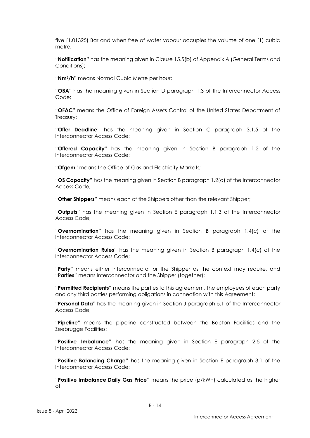five (1.01325) Bar and when free of water vapour occupies the volume of one (1) cubic metre;

"**Notification**" has the meaning given in Clause 15.5(b) of Appendix A (General Terms and Conditions);

"**Nm3/h**" means Normal Cubic Metre per hour;

"**OBA**" has the meaning given in Section D paragraph 1.3 of the Interconnector Access Code;

"**OFAC**" means the Office of Foreign Assets Control of the United States Department of Treasury;

"**Offer Deadline**" has the meaning given in Section C paragraph 3.1.5 of the Interconnector Access Code;

"**Offered Capacity**" has the meaning given in Section B paragraph 1.2 of the Interconnector Access Code;

"**Ofgem**" means the Office of Gas and Electricity Markets;

"**OS Capacity**" has the meaning given in Section B paragraph 1.2(d) of the Interconnector Access Code;

"**Other Shippers**" means each of the Shippers other than the relevant Shipper;

"**Outputs**" has the meaning given in Section E paragraph 1.1.3 of the Interconnector Access Code;

"**Overnomination**" has the meaning given in Section B paragraph 1.4(c) of the Interconnector Access Code;

"**Overnomination Rules**" has the meaning given in Section B paragraph 1.4(c) of the Interconnector Access Code;

"**Party**" means either Interconnector or the Shipper as the context may require, and "**Parties**" means Interconnector and the Shipper (together);

**"Permitted Recipients"** means the parties to this agreement, the employees of each party and any third parties performing obligations in connection with this Agreement;

"**Personal Data**" has the meaning given in Section J paragraph 5.1 of the Interconnector Access Code;

"**Pipeline**" means the pipeline constructed between the Bacton Facilities and the Zeebrugge Facilities;

"**Positive Imbalance**" has the meaning given in Section E paragraph 2.5 of the Interconnector Access Code;

"**Positive Balancing Charge**" has the meaning given in Section E paragraph 3.1 of the Interconnector Access Code;

"**Positive Imbalance Daily Gas Price**" means the price (p/kWh) calculated as the higher of: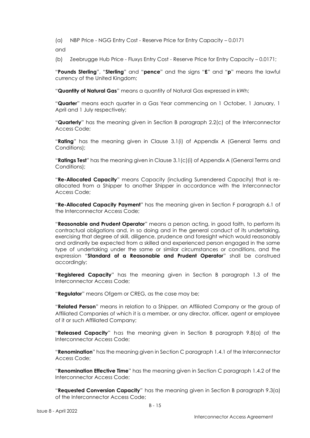(a) NBP Price - NGG Entry Cost - Reserve Price for Entry Capacity – 0.0171

and

(b) Zeebrugge Hub Price - Fluxys Entry Cost - Reserve Price for Entry Capacity – 0.0171;

"**Pounds Sterling**", "**Sterling**" and "**pence**" and the signs "**£**" and "**p**" means the lawful currency of the United Kingdom;

"**Quantity of Natural Gas**" means a quantity of Natural Gas expressed in kWh;

"**Quarter**" means each quarter in a Gas Year commencing on 1 October, 1 January, 1 April and 1 July respectively;

"**Quarterly**" has the meaning given in Section B paragraph 2.2(c) of the Interconnector Access Code;

"**Rating**" has the meaning given in Clause 3.1(i) of Appendix A (General Terms and Conditions);

"**Ratings Test**" has the meaning given in Clause 3.1(c)(i) of Appendix A (General Terms and Conditions);

"**Re-Allocated Capacity**" means Capacity (including Surrendered Capacity) that is reallocated from a Shipper to another Shipper in accordance with the Interconnector Access Code;

"**Re-Allocated Capacity Payment**" has the meaning given in Section F paragraph 6.1 of the Interconnector Access Code;

"**Reasonable and Prudent Operator**" means a person acting, in good faith, to perform its contractual obligations and, in so doing and in the general conduct of its undertaking, exercising that degree of skill, diligence, prudence and foresight which would reasonably and ordinarily be expected from a skilled and experienced person engaged in the same type of undertaking under the same or similar circumstances or conditions, and the expression "**Standard of a Reasonable and Prudent Operator**" shall be construed accordingly;

"**Registered Capacity**" has the meaning given in Section B paragraph 1.3 of the Interconnector Access Code;

"**Regulator**" means Ofgem or CREG, as the case may be;

"**Related Person**" means in relation to a Shipper, an Affiliated Company or the group of Affiliated Companies of which it is a member, or any director, officer, agent or employee of it or such Affiliated Company;

"**Released Capacity**" has the meaning given in Section B paragraph 9.8(a) of the Interconnector Access Code;

"**Renomination**" has the meaning given in Section C paragraph 1.4.1 of the Interconnector Access Code;

"**Renomination Effective Time**" has the meaning given in Section C paragraph 1.4.2 of the Interconnector Access Code;

"**Requested Conversion Capacity**" has the meaning given in Section B paragraph 9.3(a) of the Interconnector Access Code;

B - 15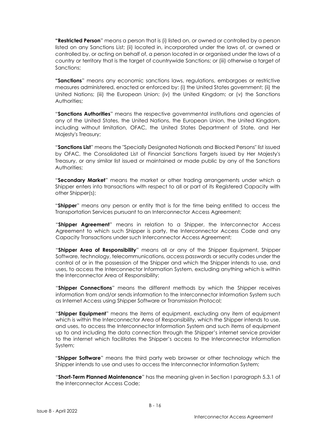**"Restricted Person**" means a person that is (i) listed on, or owned or controlled by a person listed on any Sanctions List; (ii) located in, incorporated under the laws of, or owned or controlled by, or acting on behalf of, a person located in or organised under the laws of a country or territory that is the target of countrywide Sanctions; or (iii) otherwise a target of Sanctions;

**"Sanctions**" means any economic sanctions laws, regulations, embargoes or restrictive measures administered, enacted or enforced by: (i) the United States government; (ii) the United Nations; (iii) the European Union; (iv) the United Kingdom; or (v) the Sanctions Authorities;

"**Sanctions Authorities**" means the respective governmental institutions and agencies of any of the United States, the United Nations, the European Union, the United Kingdom, including without limitation, OFAC, the United States Department of State, and Her Majesty's Treasury;

"**Sanctions List**" means the "Specially Designated Nationals and Blocked Persons" list issued by OFAC, the Consolidated List of Financial Sanctions Targets issued by Her Majesty's Treasury, or any similar list issued or maintained or made public by any of the Sanctions Authorities;

"**Secondary Market**" means the market or other trading arrangements under which a Shipper enters into transactions with respect to all or part of its Registered Capacity with other Shipper(s);

"**Shipper**" means any person or entity that is for the time being entitled to access the Transportation Services pursuant to an Interconnector Access Agreement;

"**Shipper Agreement**" means in relation to a Shipper, the Interconnector Access Agreement to which such Shipper is party, the Interconnector Access Code and any Capacity Transactions under such Interconnector Access Agreement;

"**Shipper Area of Responsibility**" means all or any of the Shipper Equipment, Shipper Software, technology, telecommunications, access passwords or security codes under the control of or in the possession of the Shipper and which the Shipper intends to use, and uses, to access the Interconnector Information System, excluding anything which is within the Interconnector Area of Responsibility;

"**Shipper Connections**" means the different methods by which the Shipper receives information from and/or sends information to the Interconnector Information System such as Internet Access using Shipper Software or Transmission Protocol;

"**Shipper Equipment**" means the items of equipment, excluding any item of equipment which is within the Interconnector Area of Responsibility, which the Shipper intends to use, and uses, to access the Interconnector Information System and such items of equipment up to and including the data connection through the Shipper's internet service provider to the internet which facilitates the Shipper's access to the Interconnector Information System;

"**Shipper Software**" means the third party web browser or other technology which the Shipper intends to use and uses to access the Interconnector Information System;

"**Short-Term Planned Maintenance**" has the meaning given in Section I paragraph 5.3.1 of the Interconnector Access Code;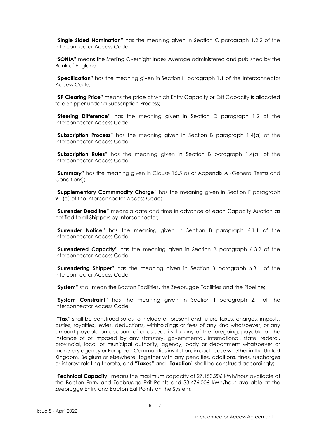"**Single Sided Nomination**" has the meaning given in Section C paragraph 1.2.2 of the Interconnector Access Code;

**"SONIA"** means the Sterling Overnight Index Average administered and published by the Bank of England

"**Specification**" has the meaning given in Section H paragraph 1.1 of the Interconnector Access Code;

"**SP Clearing Price**" means the price at which Entry Capacity or Exit Capacity is allocated to a Shipper under a Subscription Process;

"**Steering Difference**" has the meaning given in Section D paragraph 1.2 of the Interconnector Access Code;

"**Subscription Process**" has the meaning given in Section B paragraph 1.4(a) of the Interconnector Access Code;

"**Subscription Rules**" has the meaning given in Section B paragraph 1.4(a) of the Interconnector Access Code;

"**Summary**" has the meaning given in Clause 15.5(a) of Appendix A (General Terms and Conditions);

"**Supplementary Commmodity Charge**" has the meaning given in Section F paragraph 9.1(d) of the Interconnector Access Code;

"**Surrender Deadline**" means a date and time in advance of each Capacity Auction as notified to all Shippers by Interconnector;

"**Surrender Notice**" has the meaning given in Section B paragraph 6.1.1 of the Interconnector Access Code;

"**Surrendered Capacity**" has the meaning given in Section B paragraph 6.3.2 of the Interconnector Access Code;

"**Surrendering Shipper**" has the meaning given in Section B paragraph 6.3.1 of the Interconnector Access Code;

"**System**" shall mean the Bacton Facilities, the Zeebrugge Facilities and the Pipeline;

"**System Constraint**" has the meaning given in Section I paragraph 2.1 of the Interconnector Access Code;

"**Tax**" shall be construed so as to include all present and future taxes, charges, imposts, duties, royalties, levies, deductions, withholdings or fees of any kind whatsoever, or any amount payable on account of or as security for any of the foregoing, payable at the instance of or imposed by any statutory, governmental, international, state, federal, provincial, local or municipal authority, agency, body or department whatsoever or monetary agency or European Communities institution, in each case whether in the United Kingdom, Belgium or elsewhere, together with any penalties, additions, fines, surcharges or interest relating thereto, and "**Taxes**" and "**Taxation**" shall be construed accordingly;

"**Technical Capacity**" means the maximum capacity of 27,153,206 kWh/hour available at the Bacton Entry and Zeebrugge Exit Points and 33,476,006 kWh/hour available at the Zeebrugge Entry and Bacton Exit Points on the System;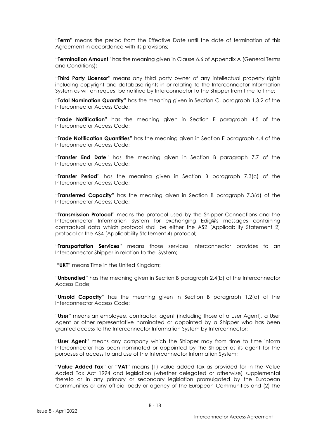"**Term**" means the period from the Effective Date until the date of termination of this Agreement in accordance with its provisions;

"**Termination Amount**" has the meaning given in Clause 6.6 of Appendix A (General Terms and Conditions);

"**Third Party Licensor**" means any third party owner of any intellectual property rights including copyright and database rights in or relating to the Interconnector Information System as will on request be notified by Interconnector to the Shipper from time to time;

"**Total Nomination Quantity**" has the meaning given in Section C, paragraph 1.3.2 of the Interconnector Access Code;

"**Trade Notification**" has the meaning given in Section E paragraph 4.5 of the Interconnector Access Code;

"**Trade Notification Quantities**" has the meaning given in Section E paragraph 4.4 of the Interconnector Access Code;

"**Transfer End Date**" has the meaning given in Section B paragraph 7.7 of the Interconnector Access Code;

"**Transfer Period**" has the meaning given in Section B paragraph 7.3(c) of the Interconnector Access Code;

"**Transferred Capacity**" has the meaning given in Section B paragraph 7.3(d) of the Interconnector Access Code;

"**Transmission Protocol**" means the protocol used by the Shipper Connections and the Interconnector Information System for exchanging Edig@s messages containing contractual data which protocol shall be either the AS2 (Applicability Statement 2) protocol or the AS4 (Applicability Statement 4) protocol;

"**Transportation Services**" means those services Interconnector provides to an Interconnector Shipper in relation to the System;

"**UKT"** means Time in the United Kingdom;

"**Unbundled**" has the meaning given in Section B paragraph 2.4(b) of the Interconnector Access Code;

"**Unsold Capacity**" has the meaning given in Section B paragraph 1.2(a) of the Interconnector Access Code;

"**User**" means an employee, contractor, agent (including those of a User Agent), a User Agent or other representative nominated or appointed by a Shipper who has been granted access to the Interconnector Information System by Interconnector;

"**User Agent**" means any company which the Shipper may from time to time inform Interconnector has been nominated or appointed by the Shipper as its agent for the purposes of access to and use of the Interconnector Information System;

"**Value Added Tax**" or "**VAT**" means (1) value added tax as provided for in the Value Added Tax Act 1994 and legislation (whether delegated or otherwise) supplemental thereto or in any primary or secondary legislation promulgated by the European Communities or any official body or agency of the European Communities and (2) the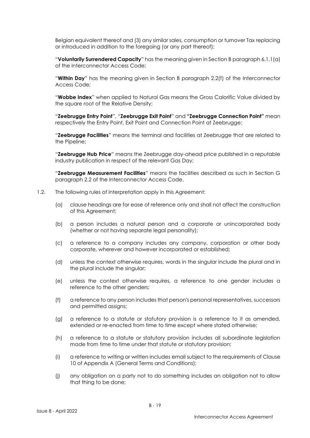Belgian equivalent thereof and (3) any similar sales, consumption or turnover Tax replacing or introduced in addition to the foregoing (or any part thereof);

"**Voluntarily Surrendered Capacity**" has the meaning given in Section B paragraph 6.1.1(a) of the Interconnector Access Code;

"**Within Day**" has the meaning given in Section B paragraph 2.2(f) of the Interconnector Access Code;

"**Wobbe Index**" when applied to Natural Gas means the Gross Calorific Value divided by the square root of the Relative Density;

"**Zeebrugge Entry Point**", "**Zeebrugge Exit Point**" and **"Zeebrugge Connection Point"** mean respectively the Entry Point, Exit Point and Connection Point at Zeebrugge;

"**Zeebrugge Facilities**" means the terminal and facilities at Zeebrugge that are related to the Pipeline;

"**Zeebrugge Hub Price**" means the Zeebrugge day-ahead price published in a reputable industry publication in respect of the relevant Gas Day;

"**Zeebrugge Measurement Facilities**" means the facilities described as such in Section G paragraph 2.2 of the Interconnector Access Code.

- 1.2. The following rules of interpretation apply in this Agreement:
	- (a) clause headings are for ease of reference only and shall not affect the construction of this Agreement;
	- (b) a person includes a natural person and a corporate or unincorporated body (whether or not having separate legal personality);
	- (c) a reference to a company includes any company, corporation or other body corporate, wherever and however incorporated or established;
	- (d) unless the context otherwise requires, words in the singular include the plural and in the plural include the singular;
	- (e) unless the context otherwise requires, a reference to one gender includes a reference to the other genders;
	- (f) a reference to any person includes that person's personal representatives, successors and permitted assigns;
	- (g) a reference to a statute or statutory provision is a reference to it as amended, extended or re-enacted from time to time except where stated otherwise;
	- (h) a reference to a statute or statutory provision includes all subordinate legislation made from time to time under that statute or statutory provision;
	- (i) a reference to writing or written includes email subject to the requirements of Clause 10 of Appendix A (General Terms and Conditions);
	- (j) any obligation on a party not to do something includes an obligation not to allow that thing to be done;